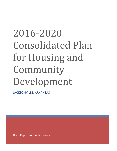# 2016‐2020 Consolidated Plan for Housing and Community Development

JACKSONVILLE, ARKANSAS

Draft Report for Public Review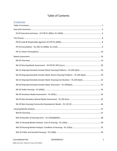# **Table of Contents**

# Contents

| NA-20 Disproportionately Greater Need: Severe Housing Problems - 91.205 (b)(2)  29 |  |
|------------------------------------------------------------------------------------|--|
| NA-25 Disproportionately Greater Need: Housing Cost Burdens - 91.205 (b)(2)32      |  |
|                                                                                    |  |
|                                                                                    |  |
|                                                                                    |  |
|                                                                                    |  |
|                                                                                    |  |
|                                                                                    |  |
|                                                                                    |  |
|                                                                                    |  |
|                                                                                    |  |
|                                                                                    |  |
|                                                                                    |  |

**JACKSONVILLE**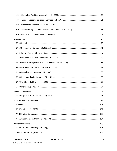#### **Consolidated Plan**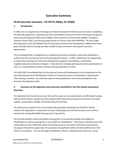# **Executive Summary**

# **ES‐05 Executive Summary ‐ 24 CFR 91.200(c), 91.220(b)**

# **1. Introduction**

In 1994, the U.S. Department of Housing and Urban Development (HUD) issued new rules consolidating the planning, application, reporting and citizen participation processes for four formula grant programs: Community Development Block Grant (CDBG), Home investment Partnerships (HOME), Emergency Solutions Grants (ESG), and Housing Opportunities for Persons with AIDS (HOPWA). The new single‐ planning process, the Consolidated Plan for Housing and Community Development, fulfilled three basic goals: provides decent housing, provides suitable living environment and expands economic opportunities.

The Consolidated Plan is designed to be a collaborative process whereby a community establishes a unified vision for housing and community development actions. It offers entitlements the opportunity to shape these housing and community development programs into effective, coordinated neighborhood and community strategies. It also allow for strategic planning and citizen participation to occur in a comprehensive context, thereby reducing duplication of effort.

The 2016‐2020 Consolidated Plan for Housing and Community Development is the comprehensive five‐ year planning document identifying the needs and respective resource investments in satisfying the City's housing, homeless, non‐homeless special needs populations, community development and economic development needs.

# **2. Summary of the objectives and outcomes identified in the Plan Needs Assessment Overview**

The objectives the City will pursue over the next five years are: promote decent and affordable housing without discrimination; expand economic opportunities that promote long-term economic and social viability; and provide a suitable community living environment.

The 2010 census resulted in the city of Jacksonville population declining from 29,630 to 28,364. However the population in Jacksonville has been rising slowly over the last five years and a need to examine the existing affordable housing stock is top priority.

The City will establish criteria that define housing that is economically feasible and suitable for rehabilitation as well as housing that is not suitable for rehabilitation. This process will help ensure that Jacksonville can more effectively utilize its housing resources and make incremental improvements focusing on the exterior appearance of a property and significant health and safety deficiencies in the interior of a property. The City will target rehabilitation efforts in selected areas of the city, so that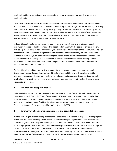neighborhood improvements can be more readily reflected in the area's surrounding homes and neighborhoods.

The City of Jacksonville has an abundant, capable workforce that has experienced substantive job losses in recent years. This problem can be overcome by focusing on the strengths of the workforce, attracting new business to the city, and supporting and expanding current business in the city. Currently the city is working with economic development partners, has established a downtown working/focus group, has its own school district, established the Jacksonville Historic District (has been listed on the National Register of Historic Places), thereby utilizing a team approach.

Jacksonville continue to have an ongoing need for enhancing existing and providing additional community facilities and public services. This goes hand-in-hand with the desire to enhance the city's well-being, the vibrancy of its neighborhoods, and the overall attractiveness of the community. The City will take action to enhance existing facilities and create additional community facilities, particularly targeted to the city's youth, thereby increasing the vitality of the city's neighborhoods and increasing the attractiveness of the city. We will also seek to provide enhancements to the existing service network so that elderly residents can obtain the public services needed to commute to necessary destinations within the community.

The 2015 Housing and Community Development Survey provided data on perceived community development needs. Respondents indicated that funding should be primarily devoted to public improvements, economic development, housing and community services. Respondents noted high levels of need for youth counseling and mentoring services, business recruitment and retention, and transportation services.

# **3. Evaluation of past performance**

Jacksonville has a good history of successful programs and activities funded through the Community Development Block Grant, the State of Arkansas HOME Investment Partnership Program and other privately owned programs. The city works with local service providers to expand services for seniors and low/mod individuals and families. Details of past performance can be found in the City's Consolidated Annual Performance and Evaluation Report (CAPER).

# **4. Summary of citizen participation process and consultation process**

It is the primary goal of the City to provide for and encourage participation in all phases of the program by low‐and moderate income persons, especially those residing in neighborhoods that are considered slum and blighted areas, are predominately low and moderate‐income, or are areas where program funds are proposed to be used. The Community Development Department (CDD) took several steps for citizen outreach and public input: a survey of city residents and stakeholders, interviews with representatives of city organizations, and three public input meeting. Additional public review activities were also conducted following development of the draft Consolidated Plan for public review.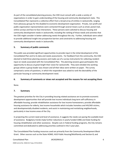As part of the consolidated planning process, the CDD must consult with a wide a variety of organizations in order to gain understanding of the housing and community development state. This Consolidated Plan represents a collective effort from a broad array of entities in Jacksonville, ranging from advocacy groups for the disabled to economic development organization. Private, non‐profit and public organization representatives were contacted through several means such as email, postal mail, online surveys and face‐to‐face interactions. These persons were solicited to discuss housing and community development needs in Jacksonville, including the ranking of those needs and activities that the CDD might consider in better addressing needs throughout the city. Further, individuals were asked to provide additional insight into prospective barriers and constraints to addressing housing and community development needs in Jacksonville.

# **5. Summary of public comments**

The public was provided significant opportunities to provide input in the initial development of the Consolidated Plan and to its data and needs assessments. For feedback from the community, the CDD elected to hold three planning sessions and made use of a survey instruments for collecting resident input on needs associated with the Consolidated Plan. The planning sessions gave participates the opportunity to discuss at great length their vision for Jacksonville. They were divided into working groups where a group leader was chosen and all their ideas were written on paper. The survey comprised a series of questions, in which the respondent was asked to rank the desirability of the particular housing or community development need.

## **6. Summary of comments or views not accepted and the reasons for not accepting them**

None.

## **7. Summary**

The greatest priorities for the City in providing housing related assistance are to promote economic development opportunities that will provide low income individuals long term self-sufficiency in affordable housing; provide rehabilitation assistance for low income homeowners; provide affordable housing assistance for elderly, low income households which includes homeless and HIV/AID victims, and developmentally disabled residents; and assist in maintaining and revitalizing neighborhoods, particularly in low income areas of the City.

In projecting the current need and level of assistance, it suggests the needs out pacing the available level of assistance. Budgetary trends imply further reductions in yearly funded CDBG and State funding for housing rehabilitation and other assistance. Despite cuts in Federal funding programs, the City remains committed and dedicated to addressing priorities outlined in the 5‐year plan.

The Consolidated Plan funding resources used are primarily from the Community Development Block Grant. Other sources such as the State HOME; HUD Public Housing/Multifamily and Section 8; and

# Consolidated Plan JACKSONVILLE 6

OMB Control No: 2506‐0117 (exp. 07/31/2015)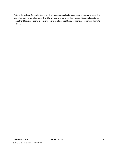Federal Home Loan Bank Affordable Housing Program may also be sought and employed in achieving overall community development. The City will also provide in‐kind services and technical assistance; seek other State and Federal grants, citizen and local non‐profit service agency's support; and private sources.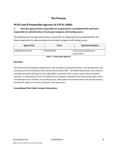# **The Process**

# **PR‐05 Lead & Responsible Agencies 24 CFR 91.200(b)**

# **1. Describe agency/entity responsible for preparing the Consolidated Plan and those responsible for administration of each grant program and funding source**

The following are the agencies/entities responsible for preparing the Consolidated Plan and those responsible for administration of each grant program and funding source.

| <b>Agency Role</b>        | <b>Name</b>         | <b>Department/Agency</b>     |
|---------------------------|---------------------|------------------------------|
|                           |                     |                              |
| <b>CDBG Administrator</b> | <b>JACKSONVILLE</b> | <b>Community Development</b> |
|                           |                     | Department                   |

**Table 1 – Responsible Agencies**

# **Narrative**

The Community Development Department is the lead agency and administrator in the development and overseeing of the Consolidated Plan and the Annual Action Plan. The CDBG Administrator also conducts meetings and public hearings to encourage public comments and to receive citizen views to establish priorities. In developing the Plan, the Administrator followed a detailed citizen participation plan, which included input from residents, non-profits groups, other public and private entities that provide services, housing and supportive services to special needs population.

# **Consolidated Plan Public Contact Information**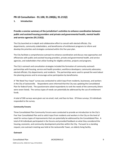# **PR‐10 Consultation ‐ 91.100, 91.200(b), 91.215(l)**

# **1. Introduction**

# **Provide a concise summary of the jurisdiction's activities to enhance coordination between public and assisted housing providers and private and governmental health, mental health and service agencies (91.215(I)).**

The City launched an in-depth and collaborative effort to consult with elected officials, City departments, community stakeholders, and beneficiaries of entitlement programs to inform and develop the priorities and strategies contained within this five year plan.

The City facilitate a comprehensive outreach to enhance coordination and discuss new approaches and efficiencies with public and assisted housing providers, private and governmental health, and service agencies, and stakeholders that utilize funding for eligible activities, projects and programs.

The City's outreach and consultation strategies included the formation of community outreach partnerships with housing, service and health providers; workforce developers; community advocates; elected officials; City departments; and residents. The partnerships were used to spread the word about the planning process and to encourage active participation by beneficiaries.

A "We Need Your Input" survey was conducted to solicit input from residents, businesses, and workers in the City of Jacksonville. Respondents were informed that the City was updating the Consolidated Plan for federal funds. The questionnaire asked respondents to rank the needs of the community (there were seven listed). The various types of needs can potentially be addressed by the use of entitlement funds.

A total of 500 surveys were given out via email, mail, and face‐to‐face. Of these surveys, 55 individuals responded to the survey.

## **Community Forums**

Three Consolidated Plan Community Forums were conducted to provide an introduction to the City's Five Year Consolidated Plan and to solicit input from residents and workers in the City on the level of need for various types of improvements that can potentially be addressed by the Consolidated Plan. A total of 44 individuals participated in the forums and provided feedback on what they considered the housing, economic, and community development priorities within the City. Pursuant to a standing request, one outreach meeting was held at the Jacksonville Tower, an elderly living facility.

#### **Outreach**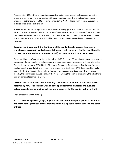Approximately 500 entities, organizations, agencies, and persons were directly engaged via outreach efforts and requested to share materials with their beneficiaries, partners, and contacts; encourage attendance at the forums; and to solicit responses to the We Need Your Input survey. Engagement included direct phone calls and email.

Notices for the forums were published in the two local newspapers, The Leader and the Jacksonville Patriot. Letters were sent to all the local bankers/financial institutions, real estate offices, apartment complexes, local churches and city workers. Each segment of the community outreach and planning process was transparent to ensure the public knew their input was being collected, reviewed, and considered.

# **Describe coordination with the Continuum of Care and efforts to address the needs of homeless persons (particularly chronically homeless individuals and families, families with children, veterans, and unaccompanied youth) and persons at risk of homelessness**

The Central Arkansas Team Care for the Homeless (CATCH) has over 35 members that comprise a broad spectrum of the community including service providers, government agencies, and the private sector. The City is represented in CATCH by the Director of Community Development. For the past five years she has been the board chair and she current is a member of the board. CATCH membership meets quarterly, the 2nd Friday in the months of February, May, August and November. The remaining months, the board meets the 3rd Friday of the month. During the point‐in‐time count, the City always actively participates in various ways.

# **Describe consultation with the Continuum(s) of Care that serves the jurisdiction's area in determining how to allocate ESG funds, develop performance standards and evaluate outcomes, and develop funding, policies and procedures for the administration of HMIS**

The City receives no ESG funding.

**2. Describe Agencies, groups, organizations and others who participated in the process and describe the jurisdictions consultations with housing, social service agencies and other entities**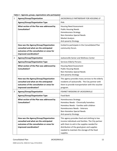| $\mathbf{1}$   | Agency/Group/Organization                                                                                                                              | <b>JACKSONVILLE PARTNERSHIP FOR HOUSING LP</b>                                                                                                                                                                                                              |
|----------------|--------------------------------------------------------------------------------------------------------------------------------------------------------|-------------------------------------------------------------------------------------------------------------------------------------------------------------------------------------------------------------------------------------------------------------|
|                | <b>Agency/Group/Organization Type</b>                                                                                                                  | <b>PHA</b>                                                                                                                                                                                                                                                  |
|                | What section of the Plan was addressed by<br><b>Consultation?</b>                                                                                      | <b>Housing Need Assessment</b><br><b>Public Housing Needs</b><br><b>Homelessness Strategy</b><br>Non-Homeless Special Needs<br>Market Analysis<br>Anti-poverty Strategy                                                                                     |
|                | How was the Agency/Group/Organization<br>consulted and what are the anticipated<br>outcomes of the consultation or areas for<br>improved coordination? | Invited to participate in the Consolidated Plan<br>community forum.                                                                                                                                                                                         |
| $\overline{2}$ | Agency/Group/Organization                                                                                                                              | Jackosnville Senior and Wellness Center                                                                                                                                                                                                                     |
|                | <b>Agency/Group/Organization Type</b>                                                                                                                  | <b>Services-Elderly Persons</b>                                                                                                                                                                                                                             |
|                | What section of the Plan was addressed by<br><b>Consultation?</b>                                                                                      | <b>Housing Need Assessment</b><br><b>Public Housing Needs</b><br>Non-Homeless Special Needs<br>Anti-poverty Strategy                                                                                                                                        |
|                | How was the Agency/Group/Organization<br>consulted and what are the anticipated<br>outcomes of the consultation or areas for<br>improved coordination? | This agency provides many services to the elderly<br>residents of Jacksonville. The City partner with<br>them to provide transportation with the voucher<br>program.                                                                                        |
| 3              | Agency/Group/Organization                                                                                                                              | FISHNET MISSIONS OF JACKSONVILLE                                                                                                                                                                                                                            |
|                | <b>Agency/Group/Organization Type</b>                                                                                                                  | Food Bank                                                                                                                                                                                                                                                   |
|                | What section of the Plan was addressed by<br><b>Consultation?</b>                                                                                      | <b>Homelessness Strategy</b><br>Homeless Needs - Chronically homeless<br>Homeless Needs - Families with children<br>Homelessness Needs - Veterans<br>Non-Homeless Special Needs<br>Anti-poverty Strategy                                                    |
|                | How was the Agency/Group/Organization<br>consulted and what are the anticipated<br>outcomes of the consultation or areas for<br>improved coordination? | This agency provides food and clothing to low<br>income individuals and families. The City partner<br>with them to aid in the supplies needed for<br>distribution of the good given and supplies<br>needed to maintain the storage of the food<br>supplies. |

**Table 2 – Agencies, groups, organizations who participated**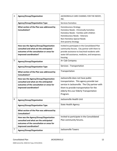| 4              | Agency/Group/Organization                                                                                                                              | JACKSONVILLE CARE CHANNEL FOR THE NEEDY,<br>INC.                                                                                                                                                                                 |
|----------------|--------------------------------------------------------------------------------------------------------------------------------------------------------|----------------------------------------------------------------------------------------------------------------------------------------------------------------------------------------------------------------------------------|
|                | <b>Agency/Group/Organization Type</b>                                                                                                                  | Services-homeless                                                                                                                                                                                                                |
|                | What section of the Plan was addressed by<br><b>Consultation?</b>                                                                                      | <b>Homelessness Strategy</b><br>Homeless Needs - Chronically homeless<br>Homeless Needs - Families with children<br>Homelessness Needs - Veterans<br>Non-Homeless Special Needs<br>Anti-poverty Strategy                         |
|                | How was the Agency/Group/Organization<br>consulted and what are the anticipated<br>outcomes of the consultation or areas for<br>improved coordination? | Invited to participate in the Consolidated Plan<br>community forums. City partner with them to<br>provide assistance to low/mod residents with<br>water bill assistance, medicine, and temporary<br>housing.                     |
| 5              | Agency/Group/Organization                                                                                                                              | A+ Cab Company                                                                                                                                                                                                                   |
|                | <b>Agency/Group/Organization Type</b>                                                                                                                  | Services - Transportation                                                                                                                                                                                                        |
|                | What section of the Plan was addressed by<br><b>Consultation?</b>                                                                                      | Transportation                                                                                                                                                                                                                   |
|                | How was the Agency/Group/Organization<br>consulted and what are the anticipated<br>outcomes of the consultation or areas for<br>improved coordination? | Jacksonville does not have public<br>transportation. This agency provide taxi<br>service in Jacksonville. The City partner with<br>them to provide transportation for the<br>elderly thru our Elderly Transportation<br>Program. |
| 6              | Agency/Group/Organization                                                                                                                              | Jacksonville Health Unit                                                                                                                                                                                                         |
|                | <b>Agency/Group/Organization Type</b>                                                                                                                  | <b>State Health Agency</b>                                                                                                                                                                                                       |
|                | What section of the Plan was addressed by<br><b>Consultation?</b>                                                                                      |                                                                                                                                                                                                                                  |
|                | How was the Agency/Group/Organization<br>consulted and what are the anticipated<br>outcomes of the consultation or areas for<br>improved coordination? | Invited to participate in the Consolidated<br>Plan community forums.                                                                                                                                                             |
| $\overline{7}$ | Agency/Group/Organization                                                                                                                              | Jacksonville Towers                                                                                                                                                                                                              |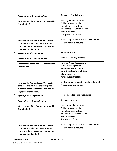|   | <b>Agency/Group/Organization Type</b>                                                                                                                  | Services - Elderly housing                                                                                                                                                                   |
|---|--------------------------------------------------------------------------------------------------------------------------------------------------------|----------------------------------------------------------------------------------------------------------------------------------------------------------------------------------------------|
|   | What section of the Plan was addressed by<br><b>Consultation?</b>                                                                                      | <b>Housing Need Assessment</b><br><b>Public Housing Needs</b><br><b>Homelessness Strategy</b><br>Non-Homeless Special Needs<br>Market Analysis<br><b>Anti-poverty Strategy</b>               |
|   | How was the Agency/Group/Organization<br>consulted and what are the anticipated<br>outcomes of the consultation or areas for<br>improved coordination? | Invited to participate in the Consolidated<br>Plan community forums.                                                                                                                         |
| 8 | Agency/Group/Organization                                                                                                                              | <b>Worley's Place</b>                                                                                                                                                                        |
|   | <b>Agency/Group/Organization Type</b>                                                                                                                  | Services - Elderly housing                                                                                                                                                                   |
|   | What section of the Plan was addressed by<br><b>Consultation?</b>                                                                                      | <b>Housing Need Assessment</b><br><b>Public Housing Needs</b><br><b>Homelessness Strategy</b><br><b>Non-Homeless Special Needs</b><br><b>Market Analysis</b><br><b>Anti-poverty Strategy</b> |
|   | How was the Agency/Group/Organization<br>consulted and what are the anticipated<br>outcomes of the consultation or areas for<br>improved coordination? | Invited to participate in the Consolidated<br>Plan community forums.                                                                                                                         |
| 9 | Agency/Group/Organization                                                                                                                              | Jacksonville Landlord Association                                                                                                                                                            |
|   | <b>Agency/Group/Organization Type</b>                                                                                                                  | Services - housing                                                                                                                                                                           |
|   | What section of the Plan was addressed by<br><b>Consultation?</b>                                                                                      | <b>Housing Need Assessment</b><br><b>Public Housing Needs</b><br><b>Homelessness Strategy</b><br>Non-Homeless Special Needs<br><b>Market Analysis</b><br><b>Anti-poverty Strategy</b>        |
|   | How was the Agency/Group/Organization<br>consulted and what are the anticipated<br>outcomes of the consultation or areas for<br>improved coordination? | Invited to participate in the Consolidated<br>Plan community forums.                                                                                                                         |

OMB Control No: 2506‐0117 (exp. 07/31/2015)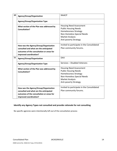| 10 | Agency/Group/Organization                                                                                                                              | <b>NAACP</b>                                                                                                                                                                          |
|----|--------------------------------------------------------------------------------------------------------------------------------------------------------|---------------------------------------------------------------------------------------------------------------------------------------------------------------------------------------|
|    | <b>Agency/Group/Organization Type</b>                                                                                                                  |                                                                                                                                                                                       |
|    | What section of the Plan was addressed by<br><b>Consultation?</b>                                                                                      | <b>Housing Need Assessment</b><br><b>Public Housing Needs</b><br><b>Homelessness Strategy</b><br>Non-Homeless Special Needs<br><b>Market Analysis</b><br><b>Anti-poverty Strategy</b> |
|    | How was the Agency/Group/Organization<br>consulted and what are the anticipated<br>outcomes of the consultation or areas for<br>improved coordination? | Invited to participate in the Consolidated<br>Plan community forums.                                                                                                                  |
| 11 | Agency/Group/Organization                                                                                                                              | <b>DAV</b>                                                                                                                                                                            |
|    | <b>Agency/Group/Organization Type</b>                                                                                                                  | Services - Disabled Veterans                                                                                                                                                          |
|    | What section of the Plan was addressed by<br><b>Consultation?</b>                                                                                      | <b>Housing Need Assessment</b><br><b>Public Housing Needs</b><br>Homelessness Strategy<br>Non-Homeless Special Needs<br><b>Market Analysis</b><br><b>Anti-poverty Strategy</b>        |
|    | How was the Agency/Group/Organization<br>consulted and what are the anticipated<br>outcomes of the consultation or areas for<br>improved coordination? | Invited to participate in the Consolidated<br>Plan community forums.                                                                                                                  |

# **Identify any Agency Types not consulted and provide rationale for not consulting**

No specific agencies were intentionally left out of the consultation process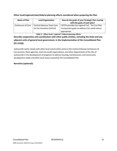# **Other local/regional/state/federal planning efforts considered when preparing the Plan**

| <b>Name of Plan</b> | <b>Lead Organization</b>   | How do the goals of your Strategic Plan overlap<br>with the goals of each plan? |
|---------------------|----------------------------|---------------------------------------------------------------------------------|
| Continuum of Care   | Central Arkansas Team Care | CATCH provides the regional CoC. The Con Plan                                   |
|                     | for the Homeless (CATCH)   | incorporates goals to address CoC needs where                                   |
|                     |                            | appropriate.                                                                    |

**Table 3 – Other local / regional / federal planning efforts**

# **Describe cooperation and coordination with other public entities, including the State and any adjacent units of general local government, in the implementation of the Consolidated Plan (91.215(l))**

Jacksonville works closely with other local communities active in the Central Arkansas Continuum of Care process, State agencies, local non‐profit organizations, and other departments of the City of Jacksonville in the development of programs to address housing, homelessness, and community development needs and other local issues covered by the Consolidated Plan.

# **Narrative (optional):**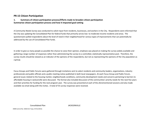# **PR‐15 Citizen Participation**

#### **1. Summary of citizen participation process/Efforts made to broaden citizen participation Summarize citizen participation process and how it impacted goal‐setting**

A Community Needs Survey was conducted to solicit input from residents, businesses, and workers in the City. Respondents were informed that the City was updating the Consolidated Plan for federal funds that primarily serves low‐ to moderate‐income residents and areas. The questionnaire polled respondents about the level of need in their neighborhood for various types of improvements that can potentially be addressed by the use of Consolidated Plan funds.

In order to give as many people as possible the chance to voice their opinion, emphasis was placed on making the survey widely available and gathering <sup>a</sup> large number of responses rather than administering the survey to <sup>a</sup> controlled, statistically representative pool. Therefore, the survey results should be viewed as an indicator of the opinions of the respondents, but not as representing the opinions of the City population as a group.

Focus Groups and Public Forums were gathered through invitations sent to select residents and community leaders, organizations, industry professionals and public officials and <sup>a</sup> public meeting notice published in both local newspapers. At each Focus Group and Public Forum, general issues related to the housing market, neighborhoods conditions, community development needs and concerns pertaining to barriers to affordable housing in Jacksonville were discussed. The format also included discussion of the communities' priority needs for the next five years and their priorities for funding for the next program year. The survey was presented at each of the aforementioned sessions and also made available via email along with the invites. A total of 55 survey responses were received.

**PLACKSONVILLE** 16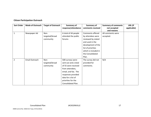# **Citizen Participation Outreach**

| <b>Sort Order</b> | <b>Mode of Outreach</b> | <b>Target of Outreach</b> | <b>Summary of</b><br>response/attendance | Summary of<br>comments received | <b>Summary of comments</b>  | URL (If<br>applicable) |
|-------------------|-------------------------|---------------------------|------------------------------------------|---------------------------------|-----------------------------|------------------------|
|                   |                         |                           |                                          |                                 | not accepted<br>and reasons |                        |
| $\mathbf{1}$      | Newspaper Ad            | Non-                      | A total of 44 people                     | Comments offered                | All comments were           |                        |
|                   |                         | targeted/broad            | attended the public                      | by attendees were               | accepted.                   |                        |
|                   |                         | community                 | forums                                   | reviewed by stated              |                             |                        |
|                   |                         |                           |                                          | and used in the                 |                             |                        |
|                   |                         |                           |                                          | development of the              |                             |                        |
|                   |                         |                           |                                          | list of priorities              |                             |                        |
|                   |                         |                           |                                          | which is included in            |                             |                        |
|                   |                         |                           |                                          | the Consolidated                |                             |                        |
|                   |                         |                           |                                          | Plan.                           |                             |                        |
| 2                 | Email Outreach          | Non-                      | 500 surveys were                         | The survey did not              | N/A                         |                        |
|                   |                         | targeted/broad            | sent out and a total                     | provided for                    |                             |                        |
|                   |                         | community                 | of 55 were received                      | comments.                       |                             |                        |
|                   |                         |                           | from attendees,                          |                                 |                             |                        |
|                   |                         |                           | email, and fax. The                      |                                 |                             |                        |
|                   |                         |                           | responses provided                       |                                 |                             |                        |
|                   |                         |                           | data for a list of                       |                                 |                             |                        |
|                   |                         |                           | priorities for the                       |                                 |                             |                        |
|                   |                         |                           | Consolidated Plan.                       |                                 |                             |                        |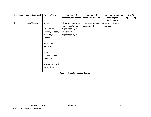| <b>Sort Order</b> | <b>Mode of Outreach</b> | <b>Target of Outreach</b> | <b>Summary of</b>   | <b>Summary of</b>   | <b>Summary of comments</b> | URL (If     |
|-------------------|-------------------------|---------------------------|---------------------|---------------------|----------------------------|-------------|
|                   |                         |                           | response/attendance | comments received   | not accepted               | applicable) |
|                   |                         |                           |                     |                     | and reasons                |             |
| 3                 | <b>Public Meeting</b>   | Minorities                | Three meetings were | Attendees were in   | All comments were          |             |
|                   |                         |                           | conducted, two on   | support of the Plan | accepted.                  |             |
|                   |                         | Non-English               | September 21, 2015  |                     |                            |             |
|                   |                         | Speaking - Specify        | and one on          |                     |                            |             |
|                   |                         | other language:           | September 25, 2015. |                     |                            |             |
|                   |                         | Spanish                   |                     |                     |                            |             |
|                   |                         |                           |                     |                     |                            |             |
|                   |                         | Persons with              |                     |                     |                            |             |
|                   |                         | disabilities              |                     |                     |                            |             |
|                   |                         |                           |                     |                     |                            |             |
|                   |                         | Non-                      |                     |                     |                            |             |
|                   |                         | targeted/broad            |                     |                     |                            |             |
|                   |                         | community                 |                     |                     |                            |             |
|                   |                         |                           |                     |                     |                            |             |
|                   |                         | Residents of Public       |                     |                     |                            |             |
|                   |                         | and Assisted              |                     |                     |                            |             |
|                   |                         | Housing                   |                     |                     |                            |             |

**Table 4 – Citizen Participation Outreach**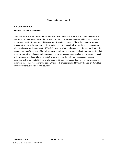# **Needs Assessment**

# **NA‐05 Overview**

#### **Needs Assessment Overview**

The needs assessment looks at housing, homeless, community development, and non‐homeless special needs through an examination of the census, CHAS data. CHAS data was created by the U.S. Census Bureau and the U.S. Department of Housing and Urban Development. These data quantify housing problems (overcrowding and cost burden), and measure the magnitude of special needs populations (elderly, disabled, and persons with HIV/AIDS). As shown in the following analysis, cost burden that is paying more than 30 percent of household income for housing expenses, and extreme cost burden that is paying more than 50 percent of household income for housing expenses has a considerable impact on households in Jacksonville, more so in the lower income households. Measures of housing condition, lack of complete kitchens or plumbing facilities doesn't provide a very reliable measure of condition, through it represents the best. Other needs are represented through the Section 8 wait list and various census and state data sources.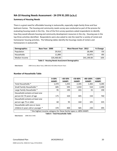# **NA‐10 Housing Needs Assessment ‐ 24 CFR 91.205 (a,b,c)**

# **Summary of Housing Needs**

There is a great need for affordable housing in Jacksonville, especially single‐family three and four bedroom homes. The housing and community needs survey was conducted as part of the process for evaluating housing needs in the City. One of the first survey questions asked respondents to identify how they would allocate housing and community development resources in the city. Housing was in the top three activities identified. Respondents were also asked to rate the need for a variety of rental and homeowner housing activities. The following tables identify the housings needs of renters and homeowners in Jacksonville.

| <b>Demographics</b> | Base Year: 2000 | <b>Most Recent Year: 2012</b> | % Change |
|---------------------|-----------------|-------------------------------|----------|
| Population          | 29.916          | 28.498                        | -5%      |
| Households          | 11.890          | 10.975                        | -8%      |
| Median Income       | \$35,460.00     | \$41,190.00                   | 16%      |

**Table 5 ‐ Housing Needs Assessment Demographics**

**Data Source:** 2000 Census (Base Year), 2008‐2012 ACS (Most Recent Year)

#### **Number of Households Table**

|                                                                    | $0 - 30%$<br><b>HAMFI</b> | $>30-50\%$<br><b>HAMFI</b> | $>50-80\%$<br><b>HAMFI</b> | >80-100%<br><b>HAMFI</b> | $>100\%$<br><b>HAMFI</b> |  |  |
|--------------------------------------------------------------------|---------------------------|----------------------------|----------------------------|--------------------------|--------------------------|--|--|
| Total Households *                                                 | 1,470                     | 1,355                      | 2,345                      | 1,365                    | 4,285                    |  |  |
| Small Family Households *                                          | 605                       | 595                        | 1,010                      | 510                      | 2,490                    |  |  |
| Large Family Households *                                          | 95                        | 190                        | 265                        | 35                       | 190                      |  |  |
| Household contains at least one                                    |                           |                            |                            |                          |                          |  |  |
| person 62-74 years of age                                          | 175                       | 320                        | 405                        | 150                      | 760                      |  |  |
| Household contains at least one                                    |                           |                            |                            |                          |                          |  |  |
| person age 75 or older                                             | 60                        | 95                         | 160                        | 105                      | 335                      |  |  |
| Households with one or more                                        |                           |                            |                            |                          |                          |  |  |
| children 6 years old or younger *                                  | 370                       | 400                        | 585                        | 230                      | 395                      |  |  |
| * the highest income category for these family types is >80% HAMFI |                           |                            |                            |                          |                          |  |  |

**Table 6 ‐ Total Households Table**

**Data Source:** 2008‐2012 CHAS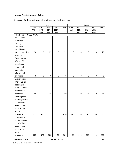# **Housing Needs Summary Tables**

# 1. Housing Problems (Households with one of the listed needs)

|                                     |           |                  | Renter    |                  |                  | Owner            |                  |             |           |              |
|-------------------------------------|-----------|------------------|-----------|------------------|------------------|------------------|------------------|-------------|-----------|--------------|
|                                     | $0 - 30%$ | $>30-$           | $>50-$    | $>80-$           | <b>Total</b>     | 0-30%            | $>30-$           | $>50-$      | $>80-$    | <b>Total</b> |
|                                     | AMI       | 50%              | 80%       | 100%             |                  | AMI              | 50%              | 80%         | 100%      |              |
|                                     |           | AMI              | AMI       | AMI              |                  |                  | AMI              | AMI         | AMI       |              |
| NUMBER OF HOUSEHOLDS<br>Substandard |           |                  |           |                  |                  |                  |                  |             |           |              |
| Housing -                           |           |                  |           |                  |                  |                  |                  |             |           |              |
| Lacking                             |           |                  |           |                  |                  |                  |                  |             |           |              |
| complete                            |           |                  |           |                  |                  |                  |                  |             |           |              |
| plumbing or                         |           |                  |           |                  |                  |                  |                  |             |           |              |
| kitchen facilities                  | 30        | $\boldsymbol{0}$ | 25        | $\boldsymbol{0}$ | 55               | $\pmb{0}$        | 10               | $\mathbf 0$ | 10        | 20           |
| Severely                            |           |                  |           |                  |                  |                  |                  |             |           |              |
| Overcrowded -                       |           |                  |           |                  |                  |                  |                  |             |           |              |
| With >1.51                          |           |                  |           |                  |                  |                  |                  |             |           |              |
| people per                          |           |                  |           |                  |                  |                  |                  |             |           |              |
| room (and                           |           |                  |           |                  |                  |                  |                  |             |           |              |
| complete                            |           |                  |           |                  |                  |                  |                  |             |           |              |
| kitchen and                         |           |                  |           |                  |                  |                  |                  |             |           |              |
| plumbing)                           | 0         | $\pmb{0}$        | $\pmb{0}$ | $\pmb{0}$        | $\boldsymbol{0}$ | $\pmb{0}$        | $\boldsymbol{0}$ | 0           | $\pmb{0}$ | $\pmb{0}$    |
| Overcrowded -                       |           |                  |           |                  |                  |                  |                  |             |           |              |
| With 1.01-1.5                       |           |                  |           |                  |                  |                  |                  |             |           |              |
| people per                          |           |                  |           |                  |                  |                  |                  |             |           |              |
| room (and none                      |           |                  |           |                  |                  |                  |                  |             |           |              |
| of the above                        |           |                  |           |                  |                  |                  |                  |             |           |              |
| problems)                           | 45        | $\pmb{0}$        | 35        | $\pmb{0}$        | 80               | $\boldsymbol{0}$ | 20               | 45          | $\pmb{0}$ | 65           |
| Housing cost                        |           |                  |           |                  |                  |                  |                  |             |           |              |
| burden greater                      |           |                  |           |                  |                  |                  |                  |             |           |              |
| than 50% of                         |           |                  |           |                  |                  |                  |                  |             |           |              |
| income (and                         |           |                  |           |                  |                  |                  |                  |             |           |              |
| none of the                         |           |                  |           |                  |                  |                  |                  |             |           |              |
| above                               |           |                  |           |                  |                  |                  |                  |             |           |              |
| problems)                           | 715       | 300              | 35        | $\pmb{0}$        | 1,050            | 215              | 190              | 75          | 50        | 530          |
| Housing cost                        |           |                  |           |                  |                  |                  |                  |             |           |              |
| burden greater                      |           |                  |           |                  |                  |                  |                  |             |           |              |
| than 30% of                         |           |                  |           |                  |                  |                  |                  |             |           |              |
| income (and                         |           |                  |           |                  |                  |                  |                  |             |           |              |
| none of the                         |           |                  |           |                  |                  |                  |                  |             |           |              |
| above                               |           |                  |           |                  |                  |                  |                  |             |           |              |
| problems)                           | 205       | 370              | 380       | 25               | 980              | 50               | 140              | 375         | 95        | 660          |

Consolidated Plan 1992 121 JACKSONVILLE

OMB Control No: 2506‐0117 (exp. 07/31/2015)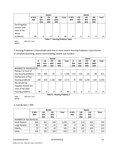|                                  |            | Renter     |            |        |       |            | Owner      |            |            |              |
|----------------------------------|------------|------------|------------|--------|-------|------------|------------|------------|------------|--------------|
|                                  | $0 - 30%$  | $>30-$     | $>50-$     | $>80-$ | Total | $0 - 30%$  | $>30-$     | $>50-$     | $>80-$     | <b>Total</b> |
|                                  | <b>AMI</b> | 50%        | 80%        | 100%   |       | <b>AMI</b> | 50%        | 80%        | 100%       |              |
|                                  |            | <b>AMI</b> | <b>AMI</b> | AMI    |       |            | <b>AMI</b> | <b>AMI</b> | <b>AMI</b> |              |
| Zero/negative                    |            |            |            |        |       |            |            |            |            |              |
| Income (and                      |            |            |            |        |       |            |            |            |            |              |
| none of the                      |            |            |            |        |       |            |            |            |            |              |
| above                            |            |            |            |        |       |            |            |            |            |              |
| problems)                        | 80         | 0          | 0          | 0      | 80    | 25         | 0          | 0          | 0          | 25           |
| Table 7 - Housing Problems Table |            |            |            |        |       |            |            |            |            |              |

**Data Source:** 2008‐2012 CHAS

2. Housing Problems 2 (Households with one or more Severe Housing Problems: Lacks kitchen or complete plumbing, severe overcrowding, severe cost burden)

|                              | Renter     |            |            |          |       |            |            | Owner  |        |              |
|------------------------------|------------|------------|------------|----------|-------|------------|------------|--------|--------|--------------|
|                              | 0-         | $>30-$     | $>50-$     | $>80-$   | Total | $0 -$      | $>30-$     | $>50-$ | $>80-$ | <b>Total</b> |
|                              | 30%        | 50%        | 80%        | 100%     |       | 30%        | 50%        | 80%    | 100%   |              |
|                              | <b>AMI</b> | <b>AMI</b> | <b>AMI</b> | AMI      |       | <b>AMI</b> | <b>AMI</b> | AMI    | AMI    |              |
| <b>NUMBER OF HOUSEHOLDS</b>  |            |            |            |          |       |            |            |        |        |              |
| Having 1 or more of          |            |            |            |          |       |            |            |        |        |              |
| four housing problems        | 795        | 300        | 95         | 0        | 1,190 | 215        | 220        | 120    | 60     | 615          |
| Having none of four          |            |            |            |          |       |            |            |        |        |              |
| housing problems             | 290        | 500        | 1,100      | 685      | 2,575 | 70         | 330        | 1,030  | 620    | 2,050        |
| Household has                |            |            |            |          |       |            |            |        |        |              |
| negative income, but         |            |            |            |          |       |            |            |        |        |              |
| none of the other            |            |            |            |          |       |            |            |        |        |              |
| housing problems             | 80         | $\Omega$   | $\Omega$   | $\Omega$ | 80    | 25         | 0          | 0      | 0      | 25           |
| Table 8 - Housing Problems 2 |            |            |            |          |       |            |            |        |        |              |

**Data Source:** 2008‐2012 CHAS

## 3. Cost Burden > 30%

|                      |                         |                             | Renter                      |              | Owner                   |                             |                             |              |
|----------------------|-------------------------|-----------------------------|-----------------------------|--------------|-------------------------|-----------------------------|-----------------------------|--------------|
|                      | $0 - 30%$<br><b>AMI</b> | $>30-$<br>50%<br><b>AMI</b> | $>50-$<br>80%<br><b>AMI</b> | <b>Total</b> | $0 - 30%$<br><b>AMI</b> | $>30-$<br>50%<br><b>AMI</b> | $>50-$<br>80%<br><b>AMI</b> | <b>Total</b> |
| NUMBER OF HOUSEHOLDS |                         |                             |                             |              |                         |                             |                             |              |
| <b>Small Related</b> | 405                     | 425                         | 240                         | 1,070        | 110                     | 124                         | 205                         | 439          |
| Large Related        | 90                      | 75                          | 25                          | 190          | $\Omega$                | 85                          | 125                         | 210          |
| Elderly              | 75                      | 60                          | 50                          | 185          | 90                      | 125                         | 100                         | 315          |
| Other                | 430                     | 105                         | 100                         | 635          | 65                      | 15                          | 55                          | 135          |

Consolidated Plan JACKSONVILLE 22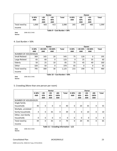|               |            |            | Owner      |       |            |            |            |       |
|---------------|------------|------------|------------|-------|------------|------------|------------|-------|
|               | $0 - 30%$  | $>30-$     | >50-       | Total | $0 - 30%$  | $>30-$     | >50-       | Total |
|               | <b>AMI</b> | 50%        | 80%        |       | <b>AMI</b> | 50%        | 80%        |       |
|               |            | <b>AMI</b> | <b>AMI</b> |       |            | <b>AMI</b> | <b>AMI</b> |       |
| Total need by | 1,000      | 665        | 415        | 2,080 | 265        | 349        | 485        | 1,099 |
| income        |            |            |            |       |            |            |            |       |

**Data Source:** 2008‐2012 CHAS **Table 9 – Cost Burden > 30%**

#### 4. Cost Burden > 50%

|                      |            |            | Renter     |              | Owner     |            |            |              |
|----------------------|------------|------------|------------|--------------|-----------|------------|------------|--------------|
|                      | $0 - 30%$  | >30-50%    | >50-80%    | <b>Total</b> | $0 - 30%$ | $>30-50\%$ | >50-80%    | <b>Total</b> |
|                      | <b>AMI</b> | <b>AMI</b> | <b>AMI</b> |              | AMI       | <b>AMI</b> | <b>AMI</b> |              |
| NUMBER OF HOUSEHOLDS |            |            |            |              |           |            |            |              |
| <b>Small Related</b> | 360        | 165        | 20         | 545          | 75        | 120        | 0          | 195          |
| Large Related        | 65         | 60         | 0          | 125          | $\Omega$  | 25         | 35         | 60           |
| Elderly              | 50         | 25         | 10         | 85           | 75        | 45         | 40         | 160          |
| Other                | 320        | 50         | 0          | 370          | 65        | 0          | $\Omega$   | 65           |
| Total need by        | 795        | 300        | 30         | 1,125        | 215       | 190        | 75         | 480          |
| income               |            |            |            |              |           |            |            |              |

**Data Source:** 2008‐2012 CHAS **Table 10 – Cost Burden > 50%**

# 5. Crowding (More than one person per room)

|                                         | Renter         |            |          |          |              | Owner        |            |            |        |              |
|-----------------------------------------|----------------|------------|----------|----------|--------------|--------------|------------|------------|--------|--------------|
|                                         | 0-30%          | $>30-$     | $>50-$   | $>80-$   | <b>Total</b> | $0 - 30%$    | $>30-$     | $>50-$     | $>80-$ | <b>Total</b> |
|                                         | <b>AMI</b>     | 50%        | 80%      | 100%     |              | AMI          | 50%        | 80%        | 100%   |              |
|                                         |                | <b>AMI</b> | AMI      | AMI      |              |              | <b>AMI</b> | <b>AMI</b> | AMI    |              |
| NUMBER OF HOUSEHOLDS                    |                |            |          |          |              |              |            |            |        |              |
| Single family                           |                |            |          |          |              |              |            |            |        |              |
| households                              | 40             | $\Omega$   | $\Omega$ | 0        | 40           | $\mathbf{0}$ | 20         | 35         | 0      | 55           |
| Multiple, unrelated                     |                |            |          |          |              |              |            |            |        |              |
| family households                       | $\overline{4}$ | 0          | 35       | 0        | 39           | $\Omega$     | 0          | 10         | 0      | 10           |
| Other, non-family                       |                |            |          |          |              |              |            |            |        |              |
| households                              | 0              | $\Omega$   | $\Omega$ | $\Omega$ | $\Omega$     | $\Omega$     | $\Omega$   | $\Omega$   | 0      | 0            |
| Total need by                           | 44             | $\Omega$   | 35       | 0        | 79           | $\Omega$     | 20         | 45         | 0      | 65           |
| income                                  |                |            |          |          |              |              |            |            |        |              |
| Table 11 - Crowding Information - $1/2$ |                |            |          |          |              |              |            |            |        |              |

**Data Source:** 2008‐2012 CHAS

Consolidated Plan JACKSONVILLE 23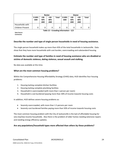|                  |            |            | Renter |       | Owner     |      |        |       |
|------------------|------------|------------|--------|-------|-----------|------|--------|-------|
|                  | $0 - 30%$  | $>30-$     | >50-   | Total | $0 - 30%$ | >30- | $>50-$ | Total |
|                  | <b>AMI</b> | 50%        | 80%    |       | AMI       | 50%  | 80%    |       |
|                  |            | <b>AMI</b> | AMI    |       |           | AMI  | AMI    |       |
| Households with  |            |            |        |       |           |      |        |       |
| Children Present | 0          |            | 0      | 0     | 0         |      | 0      |       |

**Table 12 – Crowding Information – 2/2**

**Data Source Comments:**

# **Describe the number and type of single person households in need of housing assistance.**

The single person household makes up more than 43% of the total households in Jacksonville. Data show that they have more households with cost burden, overcrowding and substandard housing.

**Estimate the number and type of families in need of housing assistance who are disabled or victims of domestic violence, dating violence, sexual assault and stalking.**

No data was available at this time.

#### **What are the most common housing problems?**

Within the Comprehensive Housing Affordability Strategy (CHAS) data, HUD identifies four housing problems:

- 1. Housing lacking complete kitchen facilities
- 2. Housing lacking complete plumbing facilities
- 3. Household in overcrowded (with more than 1 person per room)
- 4. Household is cost burdened (paying more than 30% of income towards housing costs

In addition, HUD defines severe housing problems as:

- Severely overcrowded, with more than 1.5 persons per room
- Severely cost burdened families paying more than 50% of income towards housing costs

The most common housing problem with the City of Jacksonville is the lack of affordable housing for very low/low‐income households. Also there is the problem of older homes needing extensive repairs and needing energy efficiency updates.

## **Are any populations/household types more affected than others by these problems?**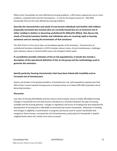While renter households are most affected by housing problems, 1,190 renters experiences one or more problems, compared with only 615 homeowners. It is by far the lowest income (0 – 30% AMI) households that are the most affected by housing problems.

**Describe the characteristics and needs of Low‐income individuals and families with children (especially extremely low‐income) who are currently housed but are at imminent risk of either residing in shelters or becoming unsheltered 91.205(c)/91.305(c)). Also discuss the needs of formerly homeless families and individuals who are receiving rapid re‐housing assistance and are nearing the termination of that assistance**

The 2015 Point‐In‐Time‐Count does not breakdown gender of the homeless. Characteristics of unsheltered homeless individuals in CATCH includes veteran status, chronic homelessness, challenges with substance abuse or mental health issues and emergent health needs.

**If a jurisdiction provides estimates of the at‐risk population(s), it should also include a description of the operational definition of the at‐risk group and the methodology used to generate the estimates:**

# **Specify particular housing characteristics that have been linked with instability and an increased risk of homelessness**

Severe cost burden is the greatest predictor of homelessness risk, with populations paying more than 50% of their income towards housing costs or having incomes at or below 30% AMI at greatest risk of becoming homeless.

## **Discussion**

Low rates of housing affordability and low vacancy levels hamper access to stable affordable housing. Changes in household size and total income contribute to a mismatch between the type of housing available and the housing demand. Changes in regulations and access to funding have also impacted the development of housing that is affordable to extremely low income households. Reductions in funding and changes in eligibility or prioritization in programs previously used to sustain households with marginal or fixed incomes, increased the risk of homelessness, particularly for households in specific neighborhoods where fair market rents have increased.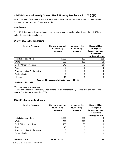# **NA‐15 Disproportionately Greater Need: Housing Problems – 91.205 (b)(2)**

Assess the need of any racial or ethnic group that has disproportionately greater need in comparison to the needs of that category of need as a whole.

#### **Introduction**

Per HUD definitions, a disproportionate need exists when any group has a housing need that is 10% or higher than the total population.

#### **0%‐30% of Area Median Income**

| <b>Housing Problems</b>        | Has one or more of<br>four housing<br>problems | Has none of the<br>four housing<br>problems | <b>Household has</b><br>no/negative<br>income, but none<br>of the other<br>housing problems |
|--------------------------------|------------------------------------------------|---------------------------------------------|---------------------------------------------------------------------------------------------|
| Jurisdiction as a whole        | 1,265                                          | 100                                         | 105                                                                                         |
| White                          | 585                                            | 100                                         | 25                                                                                          |
| Black / African American       | 640                                            | $\Omega$                                    | 80                                                                                          |
| Asian                          | 0                                              | 0                                           |                                                                                             |
| American Indian, Alaska Native | 0                                              | 0                                           |                                                                                             |
| Pacific Islander               | 0                                              | 0                                           |                                                                                             |
| Hispanic                       | 15                                             | 0                                           |                                                                                             |

**Table 13 ‐ Disproportionally Greater Need 0 ‐ 30% AMI**

**Data Source:** 2008‐2012 CHAS

\*The four housing problems are:

1. Lacks complete kitchen facilities, 2. Lacks complete plumbing facilities, 3. More than one person per room, 4.Cost Burden greater than 30%

#### **30%‐50% of Area Median Income**

| <b>Housing Problems</b>        | Has one or more of<br>four housing<br>problems | Has none of the<br>four housing<br>problems | <b>Household has</b><br>no/negative<br>income, but none<br>of the other<br>housing problems |
|--------------------------------|------------------------------------------------|---------------------------------------------|---------------------------------------------------------------------------------------------|
| Jurisdiction as a whole        | 1,030                                          | 330                                         |                                                                                             |
| White                          | 455                                            | 225                                         |                                                                                             |
| Black / African American       | 455                                            | 85                                          |                                                                                             |
| Asian                          | 45                                             | 0                                           |                                                                                             |
| American Indian, Alaska Native | 0                                              | 0                                           |                                                                                             |
| Pacific Islander               | 0                                              | 0                                           |                                                                                             |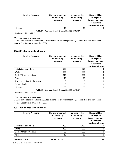| <b>Housing Problems</b> | Has one or more of<br>four housing<br>problems | Has none of the<br>four housing<br>problems | <b>Household has</b><br>no/negative<br>income, but none<br>of the other<br>housing problems |
|-------------------------|------------------------------------------------|---------------------------------------------|---------------------------------------------------------------------------------------------|
| Hispanic                | 15                                             | 15                                          |                                                                                             |

**Table 14 ‐ Disproportionally Greater Need 30 ‐ 50% AMI**

**Data Source:** 2008‐2012 CHAS

\*The four housing problems are:

1. Lacks complete kitchen facilities, 2. Lacks complete plumbing facilities, 3. More than one person per room, 4.Cost Burden greater than 30%

#### **50%‐80% of Area Median Income**

| <b>Housing Problems</b>        | Has one or more of<br>four housing<br>problems | Has none of the<br>four housing<br>problems | <b>Household has</b><br>no/negative<br>income, but none<br>of the other<br>housing problems |  |
|--------------------------------|------------------------------------------------|---------------------------------------------|---------------------------------------------------------------------------------------------|--|
| Jurisdiction as a whole        | 970                                            | 1,375                                       |                                                                                             |  |
| White                          | 565                                            | 885                                         |                                                                                             |  |
| Black / African American       | 315                                            | 390                                         |                                                                                             |  |
| Asian                          | 10                                             | 25                                          |                                                                                             |  |
| American Indian, Alaska Native | 0                                              | 0                                           |                                                                                             |  |
| Pacific Islander               | 0                                              | 0                                           |                                                                                             |  |
| Hispanic                       | 50                                             | 60                                          |                                                                                             |  |

**Table 15 ‐ Disproportionally Greater Need 50 ‐ 80% AMI**

**Data Source:** 2008‐2012 CHAS

\*The four housing problems are:

1. Lacks complete kitchen facilities, 2. Lacks complete plumbing facilities, 3. More than one person per room, 4.Cost Burden greater than 30%

#### **80%‐100% of Area Median Income**

| <b>Housing Problems</b>  | Has one or more of<br>four housing<br>problems | Has none of the<br>four housing<br>problems | <b>Household has</b><br>no/negative<br>income, but none<br>of the other<br>housing problems |  |
|--------------------------|------------------------------------------------|---------------------------------------------|---------------------------------------------------------------------------------------------|--|
| Jurisdiction as a whole  | 180                                            | 1,180                                       |                                                                                             |  |
| White                    | 105                                            | 695                                         |                                                                                             |  |
| Black / African American | 65                                             | 395                                         |                                                                                             |  |
| Asian                    | 10                                             | 10                                          |                                                                                             |  |

OMB Control No: 2506‐0117 (exp. 07/31/2015)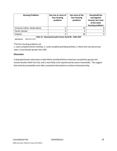| <b>Housing Problems</b>        | Has one or more of<br>four housing<br>problems | Has none of the<br>four housing<br>problems | <b>Household has</b><br>no/negative<br>income, but none<br>of the other<br>housing problems |  |
|--------------------------------|------------------------------------------------|---------------------------------------------|---------------------------------------------------------------------------------------------|--|
| American Indian, Alaska Native | 0                                              | 10                                          |                                                                                             |  |
| Pacific Islander               | 0                                              |                                             |                                                                                             |  |
| Hispanic                       | 0                                              | 60                                          |                                                                                             |  |

**Table 16 ‐ Disproportionally Greater Need 80 ‐ 100% AMI**

**Data Source:** 2008‐2012 CHAS

\*The four housing problems are:

1. Lacks complete kitchen facilities, 2. Lacks complete plumbing facilities, 3. More than one person per room, 4.Cost Burden greater than 30%

#### **Discussion**

A disproportionate need exists in both White and Black/African American racial/ethnic groups and income bracket within the City, and is most likely to be experienced by owner households. This suggest that minority households most often overextend themselves to achieve homeownership.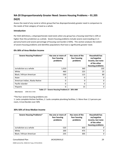# **NA‐20 Disproportionately Greater Need: Severe Housing Problems – 91.205 (b)(2)**

Assess the need of any racial or ethnic group that has disproportionately greater need in comparison to the needs of that category of need as a whole.

# **Introduction**

Per HUD definitions, a disproportionate need exists when any group has a housing need that is 10% or higher than the jurisdiction as a whole. Severe housing problems include severe overcrowding (>1.5 persons/room) and severe percentage of housing cost burden (>50%). This section analyzes the extent of severe housing problems and identifies populations that have a significantly greater need.

## **0%‐30% of Area Median Income**

| <b>Severe Housing Problems*</b> | Has one or more of<br>four housing<br>problems | Has none of the<br>four housing<br>problems | <b>Household has</b><br>no/negative<br>income, but none<br>of the other<br>housing problems |  |
|---------------------------------|------------------------------------------------|---------------------------------------------|---------------------------------------------------------------------------------------------|--|
| Jurisdiction as a whole         | 1,010                                          | 360                                         | 105                                                                                         |  |
| White                           | 460                                            | 225                                         | 25                                                                                          |  |
| Black / African American        | 530                                            | 115                                         | 80                                                                                          |  |
| Asian                           | 0                                              | 0                                           |                                                                                             |  |
| American Indian, Alaska Native  | 0                                              | 0                                           |                                                                                             |  |
| Pacific Islander                | 0                                              | 0                                           |                                                                                             |  |
| <b>Hispanic</b>                 | 0                                              | 15                                          |                                                                                             |  |

**Data Source:** 2008‐2012 CHAS

**Table 17 – Severe Housing Problems 0 ‐ 30% AMI**

\*The four severe housing problems are:

1. Lacks complete kitchen facilities, 2. Lacks complete plumbing facilities, 3. More than 1.5 persons per room, 4.Cost Burden over 50%

#### **30%‐50% of Area Median Income**

| <b>Severe Housing Problems*</b> | Has one or more of<br>four housing<br>problems | Has none of the<br>four housing<br>problems | <b>Household has</b><br>no/negative<br>income, but none<br>of the other<br>housing problems |  |
|---------------------------------|------------------------------------------------|---------------------------------------------|---------------------------------------------------------------------------------------------|--|
| Jurisdiction as a whole         | 520                                            | 830                                         |                                                                                             |  |
| White                           | 200                                            | 475                                         |                                                                                             |  |
| Black / African American        | 235                                            | 305                                         |                                                                                             |  |

#### Consolidated Plan JACKSONVILLE 29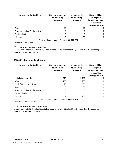| <b>Severe Housing Problems*</b> | Has one or more of<br>four housing<br>problems | Has none of the<br>four housing<br>problems | <b>Household has</b><br>no/negative<br>income, but none<br>of the other<br>housing problems |  |
|---------------------------------|------------------------------------------------|---------------------------------------------|---------------------------------------------------------------------------------------------|--|
| Asian                           | 25                                             | 20                                          |                                                                                             |  |
| American Indian, Alaska Native  | 0                                              | 0                                           |                                                                                             |  |
| Pacific Islander                | 0                                              | 0                                           |                                                                                             |  |
| Hispanic                        | 0                                              | 30                                          |                                                                                             |  |

**Table 18 – Severe Housing Problems 30 ‐ 50% AMI**

**Data Source:** 2008‐2012 CHAS

\*The four severe housing problems are:

1. Lacks complete kitchen facilities, 2. Lacks complete plumbing facilities, 3. More than 1.5 persons per room, 4.Cost Burden over 50%

#### **50%‐80% of Area Median Income**

| <b>Severe Housing Problems*</b> | Has one or more of<br>four housing<br>problems | Has none of the<br>four housing<br>problems | <b>Household has</b><br>no/negative<br>income, but none<br>of the other<br>housing problems |  |
|---------------------------------|------------------------------------------------|---------------------------------------------|---------------------------------------------------------------------------------------------|--|
| Jurisdiction as a whole         | 215                                            | 2,130                                       |                                                                                             |  |
| White                           | 155                                            | 1,295                                       |                                                                                             |  |
| Black / African American        | 20                                             | 685                                         | O                                                                                           |  |
| Asian                           | 0                                              | 35                                          |                                                                                             |  |
| American Indian, Alaska Native  | 0                                              | 0                                           |                                                                                             |  |
| Pacific Islander                | 0                                              | 0                                           |                                                                                             |  |
| Hispanic                        | 4                                              | 105                                         |                                                                                             |  |

**Table 19 – Severe Housing Problems 50 ‐ 80% AMI**

**Data Source:** 2008‐2012 CHAS

\*The four severe housing problems are:

1. Lacks complete kitchen facilities, 2. Lacks complete plumbing facilities, 3. More than 1.5 persons per room, 4.Cost Burden over 50%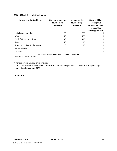# **80%‐100% of Area Median Income**

| <b>Severe Housing Problems*</b> | Has one or more of<br>four housing<br>problems | Has none of the<br>four housing<br>problems | <b>Household has</b><br>no/negative<br>income, but none<br>of the other<br>housing problems |
|---------------------------------|------------------------------------------------|---------------------------------------------|---------------------------------------------------------------------------------------------|
| Jurisdiction as a whole         | 60                                             | 1,305                                       |                                                                                             |
| White                           | 10                                             | 795                                         | O                                                                                           |
| Black / African American        | 40                                             | 415                                         | 0                                                                                           |
| Asian                           | 10                                             | 10                                          | 0                                                                                           |
| American Indian, Alaska Native  | 0                                              | 10                                          | 0                                                                                           |
| Pacific Islander                | 0                                              | 0                                           | O                                                                                           |
| <b>Hispanic</b>                 | 0                                              | 60                                          |                                                                                             |

**Table 20 – Severe Housing Problems 80 ‐ 100% AMI**

**Data Source:** 2008‐2012 CHAS

\*The four severe housing problems are:

1. Lacks complete kitchen facilities, 2. Lacks complete plumbing facilities, 3. More than 1.5 persons per room, 4.Cost Burden over 50%

#### **Discussion**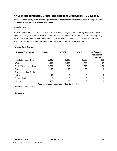# **NA‐25 Disproportionately Greater Need: Housing Cost Burdens – 91.205 (b)(2)**

Assess the need of any racial or ethnic group that has disproportionately greater need in comparison to the needs of that category of need as a whole.

#### **Introduction:**

Per HUD definitions, "disproportionate need" exists when any group has a housing need that is 10% or higher than the jurisdiction as a whole. A household is considered cost burdened when they are paying more than 30% of their income towards housing costs, including utilities. This section analyzes the extent cost burden and identifies populations that are disproportionately affected.

#### **Housing Cost Burden**

| <b>Housing Cost Burden</b> | $\leq 30\%$ | 30-50% | >50%  | No / negative<br>income (not<br>computed) |
|----------------------------|-------------|--------|-------|-------------------------------------------|
| Jurisdiction as a whole    | 7,235       | 1,820  | 1,655 | 100                                       |
| White                      | 4,855       | 1,005  | 760   | 25                                        |
| Black / African American   | 1,785       | 710    | 795   | 80                                        |
| Asian                      | 100         | 30     | 25    | 0                                         |
| American Indian, Alaska    |             |        |       |                                           |
| <b>Native</b>              | 30          | 0      | 0     |                                           |
| Pacific Islander           | 0           | 0      | 0     |                                           |
| Hispanic                   | 405         | 75     | 0     | O                                         |

**Data Source:** 2008‐2012 CHAS

**Table 21 – Greater Need: Housing Cost Burdens AMI**

#### **Discussion:**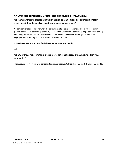# **NA‐30 Disproportionately Greater Need: Discussion – 91.205(b)(2)**

# **Are there any Income categories in which a racial or ethnic group has disproportionately greater need than the needs of that income category as a whole?**

A disproportionate need exists when the percentage of persons experiencing a housing problem in a group is at least 10.0 percentage points higher than the jurisdiction's percentage of person experiencing a housing problem as a whole. At different income levels, all racial and ethnic groups showed a disproportionate housing need in at least one income category.

# **If they have needs not identified above, what are those needs?**

N/A

# **Are any of those racial or ethnic groups located in specific areas or neighborhoods in your community?**

These groups are most likely to be located in census tract 36.06 block 1, 36.07 block 2, and 36.09 block1.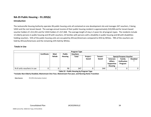# **NA‐35 Public Housing – 91.205(b)**

## **Introduction**

The Jacksonville Housing Authority operates 96 public housing units all contained on one development site and manages 347 vouchers, 3 being VASH and the rest tenant‐based. The average annual income of their public housing resident is approximately \$10,038 and for tenant‐based voucher holders it's \$11,931 and for VASH holders it's \$17,468. The average length of stay is 3 years for all program types. The residents include 12 elderly persons in public housing and 49 with vouchers; 24 families with persons with <sup>a</sup> disability in public housing and 68 with disabilities holding vouchers. 55% of the public housing units are occupied by African/Americans compared to 45% by Whites. 78% of the vouchers are held by African/Americans and the remaining 22% held by Whites.

# **Totals in Use**

|                            |                    |       |                | <b>Program Type</b>                                                     |       |       |                   |                    |                 |
|----------------------------|--------------------|-------|----------------|-------------------------------------------------------------------------|-------|-------|-------------------|--------------------|-----------------|
|                            | <b>Certificate</b> | Mod-  | <b>Public</b>  | <b>Vouchers</b>                                                         |       |       |                   |                    |                 |
|                            |                    | Rehab | <b>Housing</b> | <b>Total</b><br><b>Special Purpose Voucher</b><br>Project -<br>Tenant - |       |       |                   |                    |                 |
|                            |                    |       |                |                                                                         | based | based | <b>Veterans</b>   | Family             | <b>Disabled</b> |
|                            |                    |       |                |                                                                         |       |       | <b>Affairs</b>    | <b>Unification</b> |                 |
|                            |                    |       |                |                                                                         |       |       | <b>Supportive</b> | Program            |                 |
|                            |                    |       |                |                                                                         |       |       | <b>Housing</b>    |                    |                 |
| # of units vouchers in use |                    |       | 96             | 347                                                                     |       | 344   |                   |                    | 0 <sup>1</sup>  |

**Table 22 ‐ Public Housing by Program Type**

**\*includes Non‐Elderly Disabled, Mainstream One‐Year, Mainstream Five‐year, and Nursing Home Transition**

**Data Source:** PICPIC (PIH Information Center)

**Plan JACKSONVILLE** 34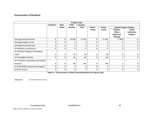#### **Characteristics of Residents**

|                                        | <b>Program Type</b> |       |                |                 |           |              |                                                                          |                                         |
|----------------------------------------|---------------------|-------|----------------|-----------------|-----------|--------------|--------------------------------------------------------------------------|-----------------------------------------|
|                                        | <b>Certificate</b>  | Mod-  | <b>Public</b>  | <b>Vouchers</b> |           |              |                                                                          |                                         |
|                                        |                     | Rehab | <b>Housing</b> | Total           | Project - | Tenant -     |                                                                          | <b>Special Purpose Voucher</b>          |
|                                        |                     |       |                |                 | based     | based        | <b>Veterans</b><br><b>Affairs</b><br><b>Supportive</b><br><b>Housing</b> | Family<br><b>Unification</b><br>Program |
| Average Annual Income                  | 0                   | 0     | 10,038         | 11,979          | 0         | 11,931       | 17,468                                                                   | 0                                       |
| Average length of stay                 | 0                   | 0     | 3              | 3               | 0         | 3            | 0                                                                        | 0                                       |
| Average Household size                 | 0                   | 0     | 2              | 2               | $\Omega$  | 2            | $\mathbf{1}$                                                             | 0                                       |
| # Homeless at admission                | 0                   | 0     | $\Omega$       | $\Omega$        | $\Omega$  | $\Omega$     | 0                                                                        | 0                                       |
| # of Elderly Program Participants      |                     |       |                |                 |           |              |                                                                          |                                         |
| ( > 62)                                | 0                   | 0     | 12             | 49              | 0         | 49           | 0                                                                        | 0                                       |
| # of Disabled Families                 | 0                   | 0     | 24             | 66              | 0         | 64           | 2                                                                        | 0                                       |
| # of Families requesting accessibility |                     |       |                |                 |           |              |                                                                          |                                         |
| features                               | 0                   | 0     | 96             | 347             | $\Omega$  | 344          | 3                                                                        | $\mathbf{0}$                            |
| # of HIV/AIDS program participants     | 0                   | 0     | 0              | $\mathbf{0}$    | $\Omega$  | $\mathbf{0}$ | 0                                                                        | 0                                       |
| # of DV victims                        | 0                   | 0     | $\Omega$       | 0               | $\Omega$  | $\Omega$     | 0                                                                        | 0                                       |

**Table 23 – Characteristics of Public Housing Residents by Program Type**

**Data Source:** PIC(PIH Information Center)

**Plan JACKSONVILLE** 35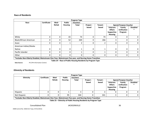#### **Race of Residents**

|                        | <b>Program Type</b>                                                                                    |          |               |                 |           |                |                                     |                                |                 |
|------------------------|--------------------------------------------------------------------------------------------------------|----------|---------------|-----------------|-----------|----------------|-------------------------------------|--------------------------------|-----------------|
| Race                   | <b>Certificate</b>                                                                                     | Mod-     | <b>Public</b> | <b>Vouchers</b> |           |                |                                     |                                |                 |
|                        |                                                                                                        | Rehab    | Housing       | <b>Total</b>    | Project - | Tenant -       |                                     | <b>Special Purpose Voucher</b> |                 |
|                        |                                                                                                        |          |               |                 | based     | based          | <b>Veterans</b><br><b>Affairs</b>   | Family<br><b>Unification</b>   | <b>Disabled</b> |
|                        |                                                                                                        |          |               |                 |           |                | <b>Supportive</b><br><b>Housing</b> | Program                        |                 |
| White                  | 0                                                                                                      | 0        | 43            | 74              | 0         | 74             | 0                                   | 0                              | 0               |
| Black/African American | 0                                                                                                      | 0        | 52            | 269             | 0         | 266            | 3                                   | 0                              | 0               |
| Asian                  | 0                                                                                                      | 0        |               | $\overline{2}$  | $\Omega$  | $\overline{2}$ | 0                                   | 0                              | $\mathbf 0$     |
| American Indian/Alaska |                                                                                                        |          |               |                 |           |                |                                     |                                |                 |
| <b>Native</b>          | 0                                                                                                      | 0        | 0             | $\mathbf{1}$    | $\Omega$  | 1              | 0                                   | 0                              | 0               |
| Pacific Islander       | 0                                                                                                      | $\Omega$ | 0             | 1               | $\Omega$  | 1              | 0                                   | 0                              | 0               |
| Other                  | $\Omega$                                                                                               | $\Omega$ | 0             | $\mathbf{0}$    | $\Omega$  | 0              | 0                                   | 0                              | $\mathbf 0$     |
|                        | *includes Non-Elderly Disabled, Mainstream One-Year, Mainstream Five-year, and Nursing Home Transition |          |               |                 |           |                |                                     |                                |                 |

**Table 24 – Race of Public Housing Residents by Program Type**

**Data Source:** PIC(PIH Information Center)

#### **Ethnicity of Residents**

|                                                                                                               | <b>Program Type</b> |       |                |                 |           |          |                                                                   |                                         |                 |
|---------------------------------------------------------------------------------------------------------------|---------------------|-------|----------------|-----------------|-----------|----------|-------------------------------------------------------------------|-----------------------------------------|-----------------|
| <b>Ethnicity</b>                                                                                              | <b>Certificate</b>  | Mod-  | <b>Public</b>  | <b>Vouchers</b> |           |          |                                                                   |                                         |                 |
|                                                                                                               |                     | Rehab | <b>Housing</b> | <b>Total</b>    | Project - | Tenant - |                                                                   | <b>Special Purpose Voucher</b>          |                 |
|                                                                                                               |                     |       |                |                 | based     | based    | <b>Veterans</b><br><b>Affairs</b><br>Supportive<br><b>Housing</b> | Family<br><b>Unification</b><br>Program | <b>Disabled</b> |
| Hispanic                                                                                                      | U                   | 0     |                |                 |           |          |                                                                   |                                         | 0               |
| Not Hispanic                                                                                                  |                     |       | 95             | 344             |           | 341      |                                                                   |                                         | υ               |
| the dealer area. Flabelly Marketter and Alexandre and Marketter and Flabelly and Alexandre House Theoritation |                     |       |                |                 |           |          |                                                                   |                                         |                 |

**\*includes Non‐Elderly Disabled, Mainstream One‐Year, Mainstream Five‐year, and Nursing Home Transition**

**Table 25 – Ethnicity of Public Housing Residents by Program Type**

Consolidated

**PLACKSONVILLE** 36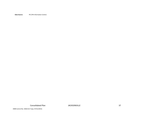**Data Source:** PICPIC (PIH Information Center)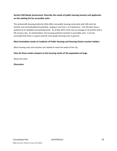### **Section 504 Needs Assessment: Describe the needs of public housing tenants and applicants on the waiting list for accessible units:**

The Jacksonville Housing Authority (JHA) offers one public housing community with 100 units for families and senior/disabled households, ranging in size from 1 to 4 bedrooms. The JHA does have a preference for disabled and working family. As of May 2015, there was an average of 16 months with a 0% vacancy rate. As stated before, the housing authority maintain 5 accessible units. It can be concluded that there is a great need for more public housing units in general.

#### **Most immediate needs of residents of Public Housing and Housing Choice voucher holders**

More housing units and vouchers are needed to meet the needs of the city.

#### **How do these needs compare to the housing needs of the population at large**

About the same.

#### **Discussion**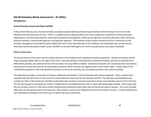# **NA‐40 Homeless Needs Assessment – 91.205(c)**

#### **Introduction:**

#### **Annual Homeless Assessment Report (AHAR)**

In the central Arkansas area, the local homeless assistance program planning network is governed by Central Arkansas Team Care for the Homeless (CATCH) Continuum of Care. CATCH is <sup>a</sup> collaboration of representatives from local jurisdictions comprised of community‐based organizations, local housing authorities, state and local governmental agencies, health service agencies, homeless advocates, faith community, formerly homeless, mental health agencies, and education agencies. The homeless services system utilized by CATCH is referred to as the Homeless Management Information System (HMIS) that stores client‐level data about the individuals and households who use the services. Little Rock Community Mental Health Center (LRCMHC) is the lead HMIS agency for CATCH and administers the system statewide.

#### **Point‐In‐Time Count**

The Annual Point‐In‐Time count consists of data collected on the sheltered and unsheltered homeless population. Sheltered homeless include those occupying shelter beds on the night of the count. Data describing the characteristics of sheltered homeless persons are obtained from HMIS where possible, and collected directly from providers not using HMIS as needed. Unsheltered homeless are counted by direct observation, and volunteers canvas the areas by car and setting up stations where homeless are regularly seen on the chosen night. A large subset of the unsheltered population is also interviewed by volunteers of the local university, thus providing data that is then used to estimate

The table below provides an estimate of homeless individuals and families in Central Arkansas with several categories. These numbers were reported from the 2015 Point‐In‐Time Count for Central Arkansas Team Care for the Homeless (CATCH) The data does not breakdown into numbers by cities in the Continuum, therefore Jacksonville does not have <sup>a</sup> concrete assessment of how many homeless person exist in the City. The CoC has focused on providing the number of sheltered and unsheltered persons with no other data being made available. HUD require that the CoC conduct <sup>a</sup> Point‐In‐Time Count of both sheltered and unsheltered every other year during the last week in January. This count normally takes place on the odd year and on the even year, they conduct <sup>a</sup> count of the sheltered persons the last week in January. A total of 830 persons were identified as homeless in the 2015 count of which 339 were unsheltered.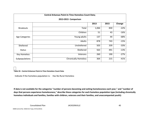|                     | <b>Central Arkansas Point-In-Time Homeless Count Data;</b> |       |      |        |  |  |  |
|---------------------|------------------------------------------------------------|-------|------|--------|--|--|--|
|                     | 2013-2015 Comparison                                       |       |      |        |  |  |  |
|                     |                                                            | 2013  | 2015 | Change |  |  |  |
| <b>Breakouts</b>    | Total                                                      | 1,066 | 830  | $-22%$ |  |  |  |
|                     | Children                                                   | 51    | 43   | $-16%$ |  |  |  |
| Age Categories      | Young adults                                               | 137   | 44   | $-68%$ |  |  |  |
|                     | <b>Adults</b>                                              | 878   | 743  | $-15%$ |  |  |  |
| Sheltered           | Unsheltered                                                | 503   | 339  | $-33%$ |  |  |  |
| <b>Status</b>       | Sheltered                                                  | 563   | 491  | $-13%$ |  |  |  |
| <b>Key Homeless</b> | Veterans                                                   | 260   | 190  | $-27%$ |  |  |  |
| Subpopulations      | Chronically Homeless                                       | 364   | 215  | $-41%$ |  |  |  |

#### **Table 26 ‐ Central Arkansas Point‐In‐Time Homeless Count Data**

Indicate if the homeless population is: Has No Rural Homeless

If data is not available for the categories "number of persons becoming and exiting homelessness each year," and "number of days that persons experience homelessness," describe these categories for each homeless population type (including chronically **homeless individuals and families, families with children, veterans and their families, and unaccompanied youth):**

Consolidated

**PLACKSONVILLE** 40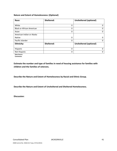#### **Nature and Extent of Homelessness: (Optional)**

| Race:                            | Sheltered: | <b>Unsheltered (optional)</b> |
|----------------------------------|------------|-------------------------------|
|                                  |            |                               |
| White                            | 0          |                               |
| <b>Black or African American</b> | 0          |                               |
| Asian                            | 0          |                               |
| American Indian or Alaska        |            |                               |
| <b>Native</b>                    | 0          |                               |
| Pacific Islander                 | 0          |                               |
| <b>Ethnicity:</b>                | Sheltered: | <b>Unsheltered (optional)</b> |
|                                  |            |                               |
| Hispanic                         | 0          |                               |
| Not Hispanic                     | 0          |                               |

**Data Source**

**Comments:**

**Estimate the number and type of families in need of housing assistance for families with children and the families of veterans.**

**Describe the Nature and Extent of Homelessness by Racial and Ethnic Group.**

**Describe the Nature and Extent of Unsheltered and Sheltered Homelessness.**

**Discussion:**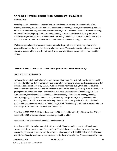# **NA‐45 Non‐Homeless Special Needs Assessment ‐ 91.205 (b,d)**

#### **Introduction:**

According to HUD, special needs populations are "not homeless but require supportive housing, including the elderly, frail elderly, persons with disabilities (mental, physical, developmental), persons with alcohol and other drug addiction, persons with HIV/AIDS. These families and individuals are living either with families, in group facilities or independently. Because individuals in these groups face unique housing challenges and are vulnerable to becoming homeless, a variety of support services are needed in order for them to achieve and maintain a suitable and stable living environment.

While most special needs groups were perceived as having a high level of need, neglected and/or abused children had the most significant level of high need. Victims of domestic violence, person with substance abuse problems and the frail elderly were also identified as having high levels of need for services.

#### **Describe the characteristics of special needs populations in your community:**

#### Elderly and Frail Elderly Persons

HUD provides a definition of "elderly" as persons age 62 or older. The U.S. National Center for Health Statistics (NCHS) notes that a number of older citizens have limitations caused by chronic conditions that contrarian activities of daily living (ADLs). ADLs are divided into three levels, from basic to advance. Basic ADLs involve personal care and include tasks such as eating, bathing, dressing, using the toilet, and getting in or out of bed or a chair. Intermediate, or instrumental activities of daily living (IADLs) are tasks necessary for independent functioning in the community. These include cooking, cleaning, laundry, shopping, using the telephone, using or accessing transportation, taking medicines, and managing money. Social, recreational and occupational activities that greatly affect the individual's quality of life are advanced activities of daily living (AADLs). "Frail elderly" is defined as persons who are unable to perform three or more activities of daily living.

According to 2009‐2013 CHAS data, there were 10,820 households in the city of Jacksonville. Of those households, 2,565 of the contained at least one person 62 or older.

People With Disabilities (Mental, Physical, Developmental)

According to HUD, physical or mental disabilities include "hearing, mobility and visual impairments, chronic alcoholism, chronic mental illness, AIDS, AIDS related complex, and mental retardation that substantially limits one or more major life activities. Many people with disabilities live on fixed incomes and this face financial and housing challenges similar to those of the elderly. Without stable, affordable

#### Consolidated Plan JACKSONVILLE 42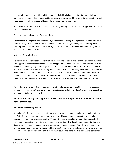housing situation, persons with disabilities can find daily life challenging. Likewise, patients from psychiatric hospitals and structured residential programs have a hard time transitioning back in the main stream society without a reasonable priced and supportive living situation.

In Jacksonville, Pathfinders has a lead role in providing housing related and other supportive services for handicapped citizens.

#### People with Alcohol and other Drug Additions

For persons suffering from addictions to drugs and alcohol, housing is complicated. Persons who have stable housing are much better to treat their addictions. However, obtaining stable housing while suffering from addiction can be quite difficult, and the frustrations caused by a lack of housing options may only exacerbate addictions

#### Victims of Domestic Violence

Domestic violence describes behavior that are used by one person in a relationship to control the other. This aggressive conduct is often criminal, including physical assault, sexual abuse and stalking. Victims can be of all races, ages, genders, religions, cultures, education levels and marital statuses. Victims of domestic violence are at risk of becoming homeless due to an unstable living environment. If domestic violence victims flee the home, they are often faced with finding emergency shelter and services for themselves and their children. Victims of domestic violence are predominantly women. However, children can also be affected as either victims of abuse or a witnesses to abuse of members of their family.

Pinpointing a specific number of victims of domestic violence can be difficult because many cases go unreported. There are other means of gathering statistics, including tracking the number of cases that are reported to law enforcement.

### **What are the housing and supportive service needs of these populations and how are these needs determined?**

#### **Elderly and Frail Elderly Persons**

A number of different housing and service programs exist to aid elderly populations in Jacksonville. As the Baby Boomer generation grows older the needs of this population are expected to multiply substantially, requiring increased funding. The priority need of the elderly population, especially the frail elderly, is assisted or long-term care housing and services. The Baby Boomer generation is more likely to want to remain independent and physically and mentally active. Thus, there is a need for a greater focus on in‐home care or expanded home health services or housekeeping assistance as well as for families who do provide home care but still may require additional medical or financial assistance.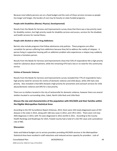Because most elderly persons are on a fixed budget and the costs of these services increase as people live longer and longer, the burden of cost may lie heavily on state‐funded programs.

#### **People with Disabilities (Mental, Physical, Developmental)**

Results from the Needs for Services and Improvements survey show that there was a low priority need for disability centers, but high priority needs for disability services and access, services for the disabled, and health services for mental illness.

#### **People with Alcohol or other Drug Addictions**

Barriers also include programs that follow abstinence-only policies. These programs are often unrealistic for person suffering from addictions because they fail to address the reality of relapses. A person living in supportive housing with an addiction problem who experiences a relapse may suddenly become a homeless person.

Results from the Needs for Services and Improvements show that 53% of respondents felt a high priority need for substance abuse treatment, while the remaining 47% had a low or no need for this community service.

#### **Victims of Domestic Violence**

Results from the Needs for Services and Improvements survey revealed that 77% of respondents had a high priority need for services for victims of domestic violence and child abuse, while 23% had a low priority. Also revealed is that 66% showed a high priority for prevention and outreach services for child abuse/domestic violence and 34% for a low priority.

There are no shelters located in the city of Jacksonville for domestic violence, however there are several shelters located in surrounding cities, Cabot, North Little Rock and Little Rock.

### **Discuss the size and characteristics of the population with HIV/AIDS and their families within the Eligible Metropolitan Statistical Area:**

According to the HIV Surveillance Report Arkansas, 2013, there were 226 newly diagnosed cases of HIV disease in the state in 2013, along with 168 new cases in 2012, and 178 in 2011. There were 114 new AIDS diagnoses in 2013, with 76 cases diagnosed in 2012 and 83 in 2011. According to the County Health Rankings and Roadmaps for 2015, Pulaski County had a total of 1,532 HIV cases and a prevalence rate of 485.

#### **Discussion:**

State and federal budget cuts to service providers providing HIV/AIDS services in the Metropolitan Statistical Area have resulted in staff reductions and reduced service capacity for providers. Lack of

#### Consolidated Plan JACKSONVILLE 44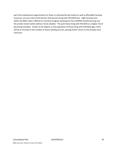part-time employment opportunities for those re-entering the job market as well as affordable housing resources, are just a few of the barriers that persons living with HIV/AIDS face. High housing costs within the MSA make it difficult to transition program participants from HOPWA-funded housing into the private rental market without rental subsides. This puts those living with HIV/AIDS at a higher risk of becoming homeless. Similar to the elderly, as the population of those living with HIV/AIDS ages, there will be an increase in the number of those needing services, placing further strain on the already scare resources.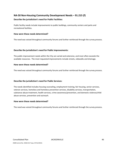### **NA‐50 Non‐Housing Community Development Needs – 91.215 (f)**

#### **Describe the jurisdiction's need for Public Facilities:**

Public facility needs include improvements to public buildings, community centers and parks and recreational facilities.

#### **How were these needs determined?**

The need was voiced throughout community forums and further reinforced through the survey process.

#### **Describe the jurisdiction's need for Public Improvements:**

The public improvement needs within the City are varied and extensive, and most often exceeds the available resources. The most requested improvements include streets, sidewalks and drainage.

#### **How were these needs determined?**

The need was voiced throughout community forums and further reinforced through the survey process.

#### **Describe the jurisdiction's need for Public Services:**

The needs identified includes housing counseling, employment training, fair housing, senior services, veteran services, homeless and homeless prevention services, disability services, transportation, substance abuse treatment, health services, crime awareness/prevention, and domestic violence/child abuse services, prevention and outreach.

#### **How were these needs determined?**

The need was voiced throughout community forums and further reinforced through the survey process.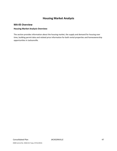# **Housing Market Analysis**

### **MA‐05 Overview**

### **Housing Market Analysis Overview:**

The section provides information about the housing market, the supply and demand for housing over time, building permit data and related price information for both rental properties and homeownership opportunities in Jacksonville.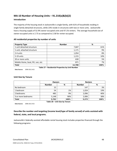## **MA‐10 Number of Housing Units – 91.210(a)&(b)(2)**

#### **Introduction**

The majority of the housing stock in Jacksonville is single‐family, with 61% of households residing in single-family detached structures, while 23% reside in structures with two or more units. Jacksonville have a housing supply of 52.9% owner‐occupied units and 47.1% renters. The average household size of owner‐occupied units is 2.73 as compared to 2.58 for renter‐occupied.

#### **All residential properties by number of units**

| <b>Property Type</b>            | <b>Number</b> | %    |
|---------------------------------|---------------|------|
| 1-unit detached structure       | 7,847         | 61%  |
| 1-unit, attached structure      | 1,171         | 9%   |
| 2-4 units                       | 1,054         | 8%   |
| 5-19 units                      | 1,215         | 10%  |
| 20 or more units                | 630           | 5%   |
| Mobile Home, boat, RV, van, etc | 871           | 7%   |
| <b>Total</b>                    | 12,788        | 100% |

**Data Source:** 2008‐2012 ACS

**Table 27 – Residential Properties by Unit Number**

#### **Unit Size by Tenure**

|                    | <b>Owners</b> |      | <b>Renters</b> |      |  |
|--------------------|---------------|------|----------------|------|--|
|                    | <b>Number</b> | %    | <b>Number</b>  | %    |  |
| No bedroom         | 15            |      | 147            | 3%   |  |
| 1 bedroom          | 54            | 1%   | 1,024          | 19%  |  |
| 2 bedrooms         | 485           | 9%   | 2,096          | 40%  |  |
| 3 or more bedrooms | 5,148         | 90%  | 2,006          | 38%  |  |
| <b>Total</b>       | 5,702         | 100% | 5,273          | 100% |  |

**Data Source:** 2008‐2012 ACS

### **Describe the number and targeting (income level/type of family served) of units assisted with federal, state, and local programs.**

**Table 28 – Unit Size by Tenure**

Jacksonville's federally assisted affordable rental housing stock includes properties financed through the following programs: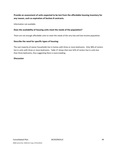### **Provide an assessment of units expected to be lost from the affordable housing inventory for any reason, such as expiration of Section 8 contracts.**

Information not available.

#### **Does the availability of housing units meet the needs of the population?**

There are not enough affordable units to meet the needs of the very low and low-income population.

#### **Describe the need for specific types of housing:**

The vast majority of owner households live in homes with three or more bedrooms. Only 38% of renters live in units with three or more bedrooms. Table 27 shows that over 62% of renters live in units less than three bedrooms, thus suggesting there is overcrowding.

#### **Discussion**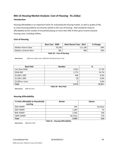### **MA‐15 Housing Market Analysis: Cost of Housing ‐ 91.210(a)**

#### **Introduction**

Housing affordability is an important factor for evaluating the housing market, as well as quality of life, as many housing problems are directly related to the cost of housing. HUD standards measure affordability by the number of household paying no more than 30% of their gross income towards housing costs, including utilities.

#### **Cost of Housing**

|                      | Base Year: 2000 | <b>Most Recent Year: 2012</b> | % Change |
|----------------------|-----------------|-------------------------------|----------|
| Median Home Value    | 70.100          | 111.100                       | 58%      |
| Median Contract Rent | 381             | 480                           | 26%      |

**Table 29 – Cost of Housing**

**Data Source:** 2000 Census (Base Year), 2008‐2012 ACS (Most Recent Year)

| <b>Rent Paid</b>     | <b>Number</b> | $\%$  |  |  |  |
|----------------------|---------------|-------|--|--|--|
| Less than \$500      | 3,022         | 57.3% |  |  |  |
| \$500-999            | 1,775         | 33.7% |  |  |  |
| \$1,000-1,499        | 448           | 0.0%  |  |  |  |
| \$1,500-1,999        | 28            | 0.0%  |  |  |  |
| \$2,000 or more      | 0             | 0.0%  |  |  |  |
| <b>Total</b>         | 5,273         | 91.0% |  |  |  |
| Table 30 - Rent Paid |               |       |  |  |  |

**Data Source:** 2008‐2012 ACS

#### **Housing Affordability**

| % Units affordable to Households<br>earning | Renter  | Owner   |
|---------------------------------------------|---------|---------|
| 30% HAMFI                                   | 405     | No Data |
| 50% HAMFI                                   | 1,285   | 55      |
| 80% HAMFI                                   | 2,305   | 190     |
| <b>100% HAMFI</b>                           | No Data | 270     |
| <b>Total</b>                                | 3,995   | 515     |

**Table 31 – Housing Affordability**

**Data Source:** 2008‐2012 CHAS

OMB Control No: 2506‐0117 (exp. 07/31/2015)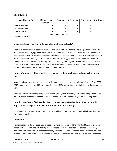#### **Monthly Rent**

| Monthly Rent (\$)       | <b>Efficiency (no</b><br>bedroom) | 1 Bedroom | 2 Bedroom | 3 Bedroom | 4 Bedroom |
|-------------------------|-----------------------------------|-----------|-----------|-----------|-----------|
| <b>Fair Market Rent</b> |                                   |           |           |           |           |
| High HOME Rent          |                                   |           |           |           |           |
| Low HOME Rent           |                                   |           |           |           |           |

**Data Source Comments:**

**Table 32 – Monthly Rent**

#### **Is there sufficient housing for households at all income levels?**

There is a clear mismatch between the need and availability of affordable housing in Jacksonville. Per 2008‐2012 CHAS data, approximately 1,470 households earn less than 30% AMI, yet there are only 405 units available that are affordable to these households. The data show that only 10% of rental units are affordable to those earning less than 30% of the AMI. This suggest many households are forced to spend more of their income on housing expenses, moving up to higher priced rental housing. With this situation, it is easy to see why households are cost burdened. In many cases it creates a severe cost burden, requiring more than 50% of their income for housing.

### **How is affordability of housing likely to change considering changes to home values and/or rents?**

Income and wages are not keeping pace with rising housing costs and overall cost of living. From 2000‐ 2012 home prices increased58% and rents increased 26%, but median household income increased just 16%.

Growing populations among many special needs groups, such as elderly households and persons living with AIDS/HIV, will lead to an even more acute need for affordable housing in the upcoming years.

### **How do HOME rents / Fair Market Rent compare to Area Median Rent? How might this impact your strategy to produce or preserve affordable housing?**

High HOME rents are relatively close to FMR and all low HOME rents are considerably lower than the FMR in Jacksonville.

#### **Discussion**

Homes in Jacksonville are becoming increasingly more expensive and the affordability gap is growing wider. Between 2000 and 2012 rent prices increased more than the increase of median incomes, homeownership remains out of reach for many households. Considering the large difference between income and housing costs, there is an extraordinary need for more affordable housing, not just for the

#### Consolidated Plan JACKSONVILLE 51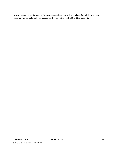lowest-income residents, but also for the moderate-income working families. Overall, there is a strong need for diverse mixture of new housing stock to serve the needs of the City's population.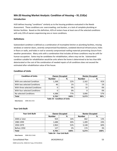# **MA‐20 Housing Market Analysis: Condition of Housing – 91.210(a) Introduction**

HUD defines housing "conditions" similarly as to the housing problems evaluated in the Needs Assessment. These conditions are: overcrowding, cost burden, or a lack of complete plumbing or kitchen facilities. Based on this definition, 42% of renters have at least one of the selected conditions with only 23% of owners experiencing one or more conditions.

#### **Definitions**

Substandard condition is defined as a combination of incomplete kitchen or plumbing facilities, missing windows or exterior doors, severely compromised foundations, outdated electrical infrastructure, holes in floors or walls, and holds in roof or severely compromised roofing materials preventing closure from weather penetration. Many units with a combination that includes all these conditions may be unfit for human occupation. Some may be candidates for rehabilitation, others may not be. Substandard condition suitable for rehabilitation would be units where the home is determined to be less than 60% deteriorated or the cost of the combination of needed repairs of all conditions does not exceed the estimated after‐rehabilitation value of the house.

#### **Condition of Units**

| <b>Condition of Units</b>      | <b>Owner-Occupied</b>         |      |               | <b>Renter-Occupied</b> |
|--------------------------------|-------------------------------|------|---------------|------------------------|
|                                | <b>Number</b>                 | %    | <b>Number</b> | %                      |
| With one selected Condition    | 1,268                         | 22%  | 2,162         | 41%                    |
| With two selected Conditions   | 46                            | 1%   | 72            | 1%                     |
| With three selected Conditions | 0                             | 0%   | 33            | 0%                     |
| With four selected Conditions  |                               | 0%   |               | 0%                     |
| No selected Conditions         | 4,388                         | 77%  | 3,006         | 57%                    |
| <b>Total</b>                   | 5,702                         | 100% | 5,273         | 99%                    |
|                                | Table 33 - Condition of Units |      |               |                        |

**Data Source:** 2008‐2012 ACS

#### **Year Unit Built**

| <b>Year Unit Built</b> |                            | <b>Owner-Occupied</b> | <b>Renter-Occupied</b> |      |  |
|------------------------|----------------------------|-----------------------|------------------------|------|--|
|                        | <b>Number</b>              | %                     | <b>Number</b>          | %    |  |
| 2000 or later          | 924                        | 16%                   | 662                    | 13%  |  |
| 1980-1999              | 1,688                      | 30%                   | 1,289                  | 24%  |  |
| 1950-1979              | 2,963                      | 52%                   | 3,148                  | 60%  |  |
| Before 1950            | 127                        | 2%                    | 174                    | 3%   |  |
| <b>Total</b>           | 5,702                      | 100%                  | 5,273                  | 100% |  |
|                        | Table 34 - Year Unit Built |                       |                        |      |  |

**Data Source:** 2008‐2012 CHAS

Consolidated Plan JACKSONVILLE 53

OMB Control No: 2506‐0117 (exp. 07/31/2015)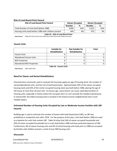#### **Risk of Lead‐Based Paint Hazard**

| <b>Risk of Lead-Based Paint Hazard</b>                | <b>Owner-Occupied</b> |     | <b>Renter-Occupied</b> |     |
|-------------------------------------------------------|-----------------------|-----|------------------------|-----|
|                                                       | <b>Number</b>         | ℅   | <b>Number</b>          | %   |
| Total Number of Units Built Before 1980               | 3.090                 | 54% | 3.322                  | 63% |
| Housing Units build before 1980 with children present | 440                   | 8%  | 470                    | 9%  |

**Table 35 – Risk of Lead‐Based Paint**

**Data Source:** 2008‐2012 ACS (Total Units) 2008‐2012 CHAS (Units with Children present)

#### **Vacant Units**

|                               | <b>Suitable for</b><br><b>Rehabilitation</b> | <b>Not Suitable for</b><br>Rehabilitation | Total |
|-------------------------------|----------------------------------------------|-------------------------------------------|-------|
| <b>Vacant Units</b>           |                                              |                                           |       |
| <b>Abandoned Vacant Units</b> |                                              |                                           |       |
| <b>REO Properties</b>         |                                              |                                           |       |
| Abandoned REO Properties      |                                              |                                           |       |

**Data Source:** 2005‐2009 CHAS

**Table 36 ‐ Vacant Units**

#### **Need for Owner and Rental Rehabilitation**

Characteristics commonly used to evaluate the housing supply are age of housing stock, the number of vacant/abandoned units, and the risk of lead‐based paint. Approximately 54% of the owner‐occupied housing stock and 63% of the renter‐occupied housing stock was built before 1980, placing the age of the house at more than 30 years old. As houses age, many factors can cause rapid deterioration of housing units, especially in homes where the occupant don't or can't provide the needed maintenance. In Jacksonville, the oldest housing stock is located in the lowest-income neighborhood and is must needed repairs.

### **Estimated Number of Housing Units Occupied by Low or Moderate Income Families with LBP Hazards**

Building age is used to estimate the number of homes with lead‐based paint (LBP), as LBP was prohibited on residential units after 1978. For the purpose of this plan, units built before 1980 are used as a baseline for units that contain LBP. Table 34 show that 54% of owner‐occupied households and 63% of renter‐occupied households live in units built before 1980 and have potential exposure of LBP. Furthermore, 8% of owner housing units and 9% of rental housing units built prior to 1980 are occupied by families with children present, a total of over 900 housing units.

#### **Discussion**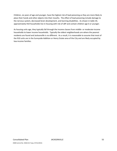Children, six years of age and younger, have the highest risk of lead poisoning as they are more likely to place their hands and other objects into their mouths. The effect of lead poisoning include damage to the nervous system, decreased brain development, and learning disabilities. As shown in table 34, approximately 910 households live in housing with risk of LBP and contain children age 6 or younger.

As housing units age, they typically fall through the income classes from middle‐ or moderate‐income households to lower income households. Typically the oldest neighborhoods are where the poorest residents are found and Jacksonville is no different. As a result, it is reasonable to assume that most of the 910 units are in the Sunnyside Addition or Henry Estate area of the City and are likely occupied by low‐income families.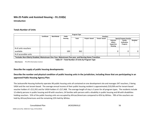### **MA‐25 Public and Assisted Housing – 91.210(b)**

**Introduction**

#### **Totals Number of Units**

| Program Type                                                                                           |                                                                                                                 |           |         |       |                 |                     |                                                            |                                         |                 |
|--------------------------------------------------------------------------------------------------------|-----------------------------------------------------------------------------------------------------------------|-----------|---------|-------|-----------------|---------------------|------------------------------------------------------------|-----------------------------------------|-----------------|
|                                                                                                        | Certificate                                                                                                     | Mod-Rehab | Public  |       | <b>Vouchers</b> |                     |                                                            |                                         |                 |
|                                                                                                        |                                                                                                                 |           | Housing | Total | Project -based  | <b>Tenant-based</b> |                                                            | <b>Special Purpose Voucher</b>          |                 |
|                                                                                                        |                                                                                                                 |           |         |       |                 |                     | <b>Veterans</b><br><b>Affairs</b><br>Supportive<br>Housing | Family<br><b>Unification</b><br>Program | <b>Disabled</b> |
| # of units vouchers                                                                                    |                                                                                                                 |           |         |       |                 |                     |                                                            |                                         |                 |
| available                                                                                              |                                                                                                                 |           | 100     | 362   |                 |                     |                                                            | 0                                       | 0               |
| # of accessible units                                                                                  |                                                                                                                 |           |         |       |                 |                     |                                                            |                                         |                 |
| *includes Non-Elderly Disabled, Mainstream One-Year, Mainstream Five-year, and Nursing Home Transition |                                                                                                                 |           |         |       |                 |                     |                                                            |                                         |                 |
|                                                                                                        | - The ball of AT Articles of All and Articles and Articles and Articles and Articles of The Control of Articles |           |         |       |                 |                     |                                                            |                                         |                 |

**Table 37 – Total Number of Units by Program Type**

**Data Source:** PIC (PIH Information Center)

#### **Describe the supply of public housing developments:**

### Describe the number and physical condition of public housing units in the jurisdiction, including those that are participating in an **approved Public Housing Agency Plan:**

The Jacksonville Housing Authority operates 96 public housing units all contained on one development site and manages 347 vouchers, 3 being VASH and the rest tenant‐based. The average annual income of their public housing resident is approximately \$10,038 and for tenant‐based voucher holders it's \$11,931 and for VASH holders it's \$17,468. The average length of stay is 3 years for all program types. The residents include 12 elderly persons in public housing and 49 with vouchers; 24 families with persons with <sup>a</sup> disability in public housing and 68 with disabilities holding vouchers. 55% of the public housing units are occupied by African/Americans compared to 45% by Whites. 78% of the vouchers are held by African/Americans and the remaining 22% held by Whites.

Consolidated

**Plan JACKSONVILLE** 56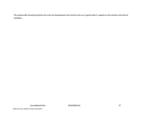The Jacksonville Housing Authority has only one development site and all units are in good order in regards to the exterior and interior condition.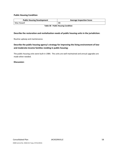#### **Public Housing Condition**

| <b>Public Housing Development</b>          | <b>Average Inspection Score</b> |  |  |  |
|--------------------------------------------|---------------------------------|--|--|--|
| Max Howell                                 | 88                              |  |  |  |
| <b>Table 38 - Public Housing Condition</b> |                                 |  |  |  |

#### **Describe the restoration and revitalization needs of public housing units in the jurisdiction:**

Routine upkeep and maintenance.

### **Describe the public housing agency's strategy for improving the living environment of low‐ and moderate‐income families residing in public housing:**

The public housing units were built in 1984. The units are well maintained and annual upgrades are made when needed.

#### **Discussion:**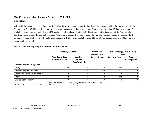### **MA‐30 Homeless Facilities and Services – 91.210(c)**

#### **Introduction**

Jacksonville has no emergency shelters, transitional housing or permanent supportive housing facilities located within the city. Agencies in the Continuum of Care (CoC) have clients that they assist with housing in the Jacksonville area. Approximately less than 10 clients are served. A total of 404 emergency shelter beds and 387 transitional beds are located in the CoC, which includes Little Rock, North Little Rock, Lonoke County and other areas. The count also includes 765 permanent supportive housing beds. Chronic homeless populations are addressed with 62 permanent supportive housing beds. Veterans are served with 58 emergency shelter beds, 113 transitional housing beds, and 204 permanent supportive housing beds.

#### **Facilities and Housing Targeted to Homeless Households**

|                                        | <b>Emergency Shelter Beds</b>             |                                                 | <b>Transitional</b><br><b>Housing Beds</b> | <b>Permanent Supportive Housing</b><br><b>Beds</b> |                             |
|----------------------------------------|-------------------------------------------|-------------------------------------------------|--------------------------------------------|----------------------------------------------------|-----------------------------|
|                                        | <b>Year Round Beds</b><br>(Current & New) | Voucher /<br>Seasonal /<br><b>Overflow Beds</b> | <b>Current &amp; New</b>                   | <b>Current &amp; New</b>                           | <b>Under</b><br>Development |
| Households with Adult(s) and           |                                           |                                                 |                                            |                                                    |                             |
| Child(ren)                             | 88                                        |                                                 | 117                                        | 309                                                | 0                           |
| Households with Only Adults            | 316                                       | 120                                             | 270                                        | 456                                                | 0                           |
| <b>Chronically Homeless Households</b> | 0                                         |                                                 | 0                                          | 62                                                 | 0                           |
| Veterans                               | 58                                        |                                                 | 113                                        | 204                                                | 0                           |
| <b>Unaccompanied Youth</b>             | 0                                         |                                                 | 0                                          |                                                    | 0                           |

**Table 39 ‐ Facilities and Housing Targeted to Homeless Households**

**Data Source Comments:** HUD's 2014Continuum of Care Homeless Assistance Programs Housing Inventory Count Report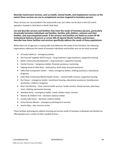#### **Describe mainstream services, such as health, mental health, and employment services to the extent those services are use to complement services targeted to homeless persons**

These services are not provided in the Jacksonville area, but rather can be done in the CoC which typically is located in Little Rock or North Little Rock.

**List and describe services and facilities that meet the needs of homeless persons, particularly chronically homeless individuals and families, families with children, veterans and their families, and unaccompanied youth. If the services and facilities are listed on screen SP‐40 Institutional Delivery Structure or screen MA‐35 Special Needs Facilities and Services, describe how these facilities and services specifically address the needs of these populations.**

While there are no agencies in Jacksonville that addresses the needs of the homeless, the following organizations addresses the needs of homeless individuals and families and can be easily accessed:

- A Family Called Us emergency shelter
- Get Yourself Together (GYST) House drug treatment, legal assistance, supportive housing
- Better Community Development drug treatment, supportive housing
- Family Promise temporary shelter, financial assistance, mentoring
- Helping Hand of Little Rock food pantry, thrift shop, financial assistance
- Little Rock Compassion Center meals, emergency shelter, clothing assistance, educational programs
- Little Rock Community Mental Health Center mental health services, supportive housing
- Our House emergency shelter, transitional housing, educational assistance, homelessness prevention, children's programs
- River City Ministry food, mental health services, health services, dental services, pharmacy, vison, clothing, permanent housing
- Salvation Army emergency shelter, meals, clothes closet, services
- Women & Children First domestic violence shelter
- Lonoke Safe Haven domestic violence shelter
- Union Rescue Mission emergency and long term services
- Jericho Way day resource center

These facilities and programs address housing and service needs of homeless individuals and families by offering beds and a variety of other needed services.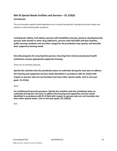# **MA‐35 Special Needs Facilities and Services – 91.210(d)**

#### **Introduction**

The non‐homeless special needs population are currently having their housing and service needs met without or with limited public assistance.

**Including the elderly, frail elderly, persons with disabilities (mental, physical, developmental), persons with alcohol or other drug addictions, persons with HIV/AIDS and their families, public housing residents and any other categories the jurisdiction may specify, and describe their supportive housing needs**

**Describe programs for ensuring that persons returning from mental and physical health institutions receive appropriate supportive housing**

There are no activities planned.

**Specify the activities that the jurisdiction plans to undertake during the next year to address the housing and supportive services needs identified in accordance with 91.215(e) with respect to persons who are not homeless but have other special needs. Link to one‐year goals. 91.315(e)**

None

**For entitlement/consortia grantees: Specify the activities that the jurisdiction plans to undertake during the next year to address the housing and supportive services needs identified in accordance with 91.215(e) with respect to persons who are not homeless but have other special needs. Link to one‐year goals. (91.220(2))**

N/A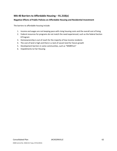## **MA‐40 Barriers to Affordable Housing – 91.210(e)**

#### **Negative Effects of Public Policies on Affordable Housing and Residential Investment**

The barriers to affordable housing include:

- 1. Income and wages are not keeping pace with rising housing costs and the overall cost of living
- 2. Federal resources for programs do not match the need experienced, such as the federal Section 8 Program
- 3. Homeownership is out of reach for the majority of low‐income residents
- 4. The cost of land is high and there is a lack of vacant land for future growth
- 5. Development barriers in some communities, such as "NIMBYism"
- 6. Impediments to Fair Housing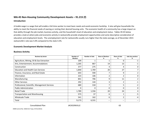# **MA‐45 Non‐Housing Community Development Assets – 91.215 (f)**

#### **Introduction**

A livable wage is <sup>a</sup> wage that will enable <sup>a</sup> full‐time worker to meet basic needs and avoid economic hardship. It also will give households the ability to meet the financial needs of owning or renting their desired housing units. The economic health of <sup>a</sup> community has <sup>a</sup> large impact on that ability through the job market, business activity, and the household's level of education and employment status. Tables 39‐45 below provides <sup>a</sup> look at where jobs and economic activity in Jacksonville provide employment opportunities and some descriptive consideration of education and employment levels. The unemployment rate for Jacksonville usually runs higher than the state average, as of December 2015 Jacksonville's rate was 5.0% compared to the state 4.3%.

#### **Economic Development Market Analysis**

#### **Business Activity**

| <b>Business by Sector</b>                     | Number of<br><b>Workers</b> | <b>Number of Jobs</b> | <b>Share of Workers</b><br>% | <b>Share of Jobs</b><br>℅ | Jobs less workers<br>% |
|-----------------------------------------------|-----------------------------|-----------------------|------------------------------|---------------------------|------------------------|
| Agriculture, Mining, Oil & Gas Extraction     | 109                         |                       |                              | 0                         | $-1$                   |
| Arts, Entertainment, Accommodations           | 1,265                       | 867                   | 14                           | 13                        | $-1$                   |
| Construction                                  | 377                         | 275                   | 4                            | 4                         | 0                      |
| <b>Education and Health Care Services</b>     | 1,840                       | 1,769                 | 20                           | 27                        |                        |
| Finance, Insurance, and Real Estate           | 643                         | 590                   | 7                            | 9                         | $\overline{2}$         |
| Information                                   | 223                         | 106                   | $\overline{2}$               |                           | 0                      |
| Manufacturing                                 | 841                         | 706                   | 9                            | 11                        | 2                      |
| <b>Other Services</b>                         | 292                         | 144                   | 3                            | $\mathcal{P}$             | $-1$                   |
| Professional, Scientific, Management Services | 680                         | 318                   | 7                            | 5                         | $-2$                   |
| <b>Public Administration</b>                  | $\Omega$                    | 0                     | 0                            | 0                         | 0                      |
| <b>Retail Trade</b>                           | 1,789                       | 1,556                 | 20                           | 24                        | 4                      |
| <b>Transportation and Warehousing</b>         | 573                         | 37                    | 6                            |                           | $-5$                   |
| Wholesale Trade                               | 541                         | 162                   | 6                            | ∍                         | $-4$                   |
| Total                                         | 9,173                       | 6,531                 | $\qquad \qquad -$            | --                        | $\qquad \qquad -$      |

Consolidated

**PLACKSONVILLE** 63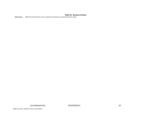#### **Table 40 ‐ Business Activity**

**Data Source:** 2008‐2012 ACS (Workers), 2011 Longitudinal Employer‐Household Dynamics (Jobs)

Consolidated

**Plan JACKSONVILLE** 64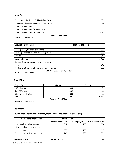#### **Labor Force**

| Total Population in the Civilian Labor Force   | 12,596 |  |  |
|------------------------------------------------|--------|--|--|
| Civilian Employed Population 16 years and over | 11,612 |  |  |
| <b>Unemployment Rate</b>                       | 7.81   |  |  |
| Unemployment Rate for Ages 16-24               | 19.53  |  |  |
| Unemployment Rate for Ages 25-65               | 4.27   |  |  |
| Table 41 - Labor Force                         |        |  |  |

**Data Source:** 2008‐2012 ACS

| <b>Occupations by Sector</b>                   | <b>Number of People</b> |
|------------------------------------------------|-------------------------|
| Management, business and financial             | 1,690                   |
| Farming, fisheries and forestry occupations    | 663                     |
| Service                                        | 1,341                   |
| Sales and office                               | 3,497                   |
| Construction, extraction, maintenance and      |                         |
| repair                                         | 1,042                   |
| Production, transportation and material moving | 998                     |

**Table 42 – Occupations by Sector**

**Data Source:** 2008‐2012 ACS

#### **Travel Time**

| <b>Travel Time</b> | <b>Number</b> | Percentage |
|--------------------|---------------|------------|
| < 30 Minutes       | 9,732         | 77%        |
| 30-59 Minutes      | 2.721         | 21%        |
| 60 or More Minutes | 228           | 2%         |
| <b>Total</b>       | 12,681        | 100%       |

**Data Source:** 2008‐2012 ACS

**Table 43 ‐ Travel Time**

#### **Education:**

Educational Attainment by Employment Status (Population 16 and Older)

| <b>Educational Attainment</b>      | In Labor Force                         |     |                           |
|------------------------------------|----------------------------------------|-----|---------------------------|
|                                    | <b>Civilian Employed</b><br>Unemployed |     | <b>Not in Labor Force</b> |
| Less than high school graduate     | 862                                    | 168 | 554                       |
| High school graduate (includes     |                                        |     |                           |
| equivalency)                       | 3,589                                  | 165 | 1,613                     |
| Some college or Associate's degree | 3,248                                  | 285 | 951                       |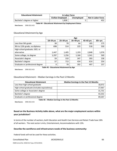| <b>Educational Attainment</b> | In Labor Force                         |  |                           |
|-------------------------------|----------------------------------------|--|---------------------------|
|                               | <b>Civilian Employed</b><br>Unemployed |  | <b>Not in Labor Force</b> |
| Bachelor's degree or higher   | 1,828                                  |  | 452                       |

#### **Table 44 ‐ Educational Attainment by Employment Status**

**Data Source:** 2008‐2012 ACS

#### Educational Attainment by Age

|                                 | Age           |           |           |           |          |
|---------------------------------|---------------|-----------|-----------|-----------|----------|
|                                 | $18 - 24$ yrs | 25-34 yrs | 35-44 yrs | 45-65 yrs | $65+yrs$ |
| Less than 9th grade             | 38            | 78        | 64        | 185       | 175      |
| 9th to 12th grade, no diploma   | 698           | 514       | 225       | 518       | 330      |
| High school graduate, GED, or   |               |           |           |           |          |
| alternative                     | 1,447         | 1,405     | 1,193     | 2,848     | 1,076    |
| Some college, no degree         | 1,297         | 1,256     | 1,166     | 1,541     | 569      |
| Associate's degree              | 59            | 310       | 347       | 393       | 158      |
| Bachelor's degree               | 57            | 713       | 434       | 614       | 254      |
| Graduate or professional degree | 0             | 78        | 202       | 497       | 157      |

**Data Source:** 2008‐2012 ACS

**Table 45 ‐ Educational Attainment by Age**

#### Educational Attainment – Median Earnings in the Past 12 Months

| <b>Educational Attainment</b>               | <b>Median Earnings in the Past 12 Months</b> |
|---------------------------------------------|----------------------------------------------|
| Less than high school graduate              | 18,972                                       |
| High school graduate (includes equivalency) | 27,967                                       |
| Some college or Associate's degree          | 31,731                                       |
| Bachelor's degree                           | 43,353                                       |
| Graduate or professional degree             | 69,267                                       |

**Table 46 – Median Earnings in the Past 12 Months**

**Data Source:** 2008‐2012 ACS

### **Based on the Business Activity table above, what are the major employment sectors within your jurisdiction?**

In terms of the number of workers, both Education and Health Care Services and Retain Trade have 18% of all workers. The next sector is Arts, Entertainment, Accommodations with 13%.

#### **Describe the workforce and infrastructure needs of the business community:**

Federal funds will not be used for these activities.

Consolidated Plan JACKSONVILLE 66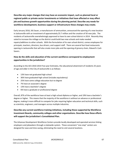**Describe any major changes that may have an economic impact, such as planned local or regional public or private sector investments or initiatives that have affected or may affect job and business growth opportunities during the planning period. Describe any needs for workforce development, business support or infrastructure these changes may create.**

Early January 2016, SIG Sauer, a manufacturer of ammunition, announced the opening of a new location in Jacksonville with an investment of approximately \$5.7 million and the creation of 50 new jobs. The residents of Jacksonville overwhelmingly approved to have its own school district in 2014. Recently they voted to increase the millage so the district could build two new schools and make needed repairs/additions to other schools. With the formulation of its own school district, comes employees for principals, teachers, directors, bus drivers, and support staff. There are several fast‐food restaurants opening in Jacksonville that will also create more jobs and the opening of grocery chain, Edward's Cash Savers.

### **How do the skills and education of the current workforce correspond to employment opportunities in the jurisdiction?**

According to the ACS 2010‐2014 Five‐year Estimates, the educational attainment of residents 25 years of age and older in the City of Jacksonville is as follows:

- 13% have not graduated high school
- 36% have graduated high school (includes equivalency)
- 25% have some college education but no degree
- 7% have an associate's degree
- 13% have a bachelor's degree
- 6% have a graduate or professional degree

Overall, 87% of the workforce have at least a high school diploma or higher, and 19% have a bachelor's degree or higher. This means that the majority of the workforce is without an advance or professional degree, making it more difficult to compete for jobs requiring higher education and technical skills, such as scientists, engineers, and managers across multiple industries.

### **Describe any current workforce training initiatives, including those supported by Workforce Investment Boards, community colleges and other organizations. Describe how these efforts will support the jurisdiction's Consolidated Plan.**

The Arkansas Development Workforce Centers provide locally developed and operated services linking employers and jobseekers through a statewide system. These convenient "one‐stop" centers are designed for ease and time saving, eliminating the need to visit several locations.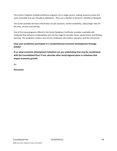The Centers integrate multiple workforce programs into a single system, making resources easily and more accessible and user friendly to jobseekers. They are a member of America's Workforce Network.

The Center provides the latest information on job vacancies, worker availability, salary/wage rates for the area, services and training.

One of the many programs offered is the Career Readiness Certificate, provides a portable skill credential that enhances employability and sets the stage for possible career advancement and lifelong learning. This programs creates a win‐win for employers, job seekers, educators and the community.

### **Does your jurisdiction participate in a Comprehensive Economic Development Strategy (CEDS)?**

**If so, what economic development initiatives are you undertaking that may be coordinated with the Consolidated Plan? If not, describe other local/regional plans or initiatives that impact economic growth.**

No.

**Discussion**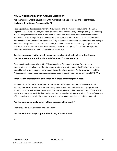### **MA‐50 Needs and Market Analysis Discussion**

### **Are there areas where households with multiple housing problems are concentrated? (include a definition of "concentration")**

Housing problems disproportionately affect low‐income and the minority populations. The CDBG Eligible Census Tracts are Sunnyside Addition (entire area) and the Henry Estate (in parts). The housing in these neighborhoods are often in very poor condition and many need extensive rehabilitation or demolition. In the Sunnyside area, the majority of the houses are rental units. These neighborhoods also have the lowest income households thus living in houses in poor condition and often times paying a lower rent. Despite the lower rent or sale price, the lower income households pay a large portion of their income on housing expenses. Concentrated means that a large portion (51% or more) of the neighborhood shows the impact of these housing problems.

### **Are there any areas in the jurisdiction where racial or ethnic minorities or low‐income families are concentrated? (include a definition of "concentration")**

The population of Jacksonville is 33% African‐American, 7% Hispanic. African‐Americans are concentrated in several areas of the city. Concentration means the population if a given census tract exceed twice the percentage minority population as the city as a whole. As the attached map of the African‐American population shows, some census tracts in the city show concentrations of 30%‐97%.

#### **What are the characteristics of the market in these areas/neighborhoods?**

A number of barriers exist for residents in these areas. With higher numbers of low‐income and minority households, these are often historically underserved communities facing disproportionate housing problems such as overcrowding and cost burden, greater public investment and infrastructure needs, less accessible public facilities and a need for increased public safety services. Code enforcement officials works extensively in these areas in an attempt to maintain the integrity of the community.

#### **Are there any community assets in these areas/neighborhoods?**

There are parks, a senior center, and a safe room.

#### **Are there other strategic opportunities in any of these areas?**

No.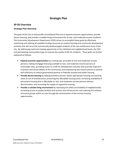# **Strategic Plan**

#### **SP‐05 Overview**

#### **Strategic Plan Overview**

The goals of the City of Jacksonville Consolidated Plan are to expand economic opportunities, provide decent housing, and provide a suitable living environment for its low‐ and moderate‐income residents. The Community Development Department (CDD) strives to accomplish these goals by affectively maximizing and utilizing all available funding resources to conduct housing and community development activities that will serve the economically disadvantaged residents of the non-entitlement areas of the city. By addressing need and creating opportunity at the individual and neighborhood levels, the CDD and participating communities hope to improve the quality of life for residents. These goals are further explained as follows:

- **Expand economic opportunities** by creating jobs accessible to low‐and moderate‐income persons; making mortgage financing available to low‐ and moderate‐income persons at reasonable rates; providing access to credit for development activities that promote long-term economic and social viability of the community; and empowering low‐income person to achieve self-sufficiency to reduce generational poverty in federally assisted and public housing.
- **Provide decent housing** by helping homeless persons obtain appropriate housing and assisting those at risk of homelessness; preserving the affordable housing stock; increasing availability of permanent housing that is affordable to low‐ and moderate‐income persons without discrimination; and increasing the supply of supportive housing.
- **Provide a suitable living environment** by improving the safety and livability of neighborhoods; increasing access to quality facilities and services and infrastructure; and reducing the isolation of income groups within an area through de‐concentration of low‐income housing opportunities.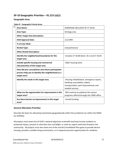## **SP‐10 Geographic Priorities – 91.215 (a)(1)**

**Geographic Area**

| 1 | <b>Area Name:</b>                                                                                                          | SUNNYSIDE INCLUSIVE OF CT 36.05                                                                                                            |
|---|----------------------------------------------------------------------------------------------------------------------------|--------------------------------------------------------------------------------------------------------------------------------------------|
|   | Area Type:                                                                                                                 | Strategy area                                                                                                                              |
|   | <b>Other Target Area Description:</b>                                                                                      |                                                                                                                                            |
|   | <b>HUD Approval Date:</b>                                                                                                  | 1/1/1999                                                                                                                                   |
|   | % of Low/ Mod:                                                                                                             |                                                                                                                                            |
|   | <b>Revital Type:</b>                                                                                                       | Comprehensive                                                                                                                              |
|   | <b>Other Revital Description:</b>                                                                                          |                                                                                                                                            |
|   | Identify the neighborhood boundaries for this<br>target area.                                                              | Includes CT 36.06 block 1 & 2 and CT 36.05                                                                                                 |
|   | Include specific housing and commercial<br>characteristics of this target area.                                            | Older housing stock                                                                                                                        |
|   | How did your consultation and citizen participation<br>process help you to identify this neighborhood as a<br>target area? |                                                                                                                                            |
|   | Identify the needs in this target area.                                                                                    | Housing rehabilitation, emergency repairs,<br>handicap accessibility, elderly<br>transportation, park improvements and<br>needed services. |
|   | What are the opportunities for improvement in this<br>target area?                                                         | Will continue to publicize the various<br>programs offered through the CDBG office.                                                        |
|   | Are there barriers to improvement in this target<br>area?                                                                  | Limited funding.                                                                                                                           |

#### **General Allocation Priorities**

Describe the basis for allocating investments geographically within the jurisdiction (or within the EMSA for HOPWA)

All projects must meet one of HUD's national objectives to benefit low/mod income residents or protected classes, prevent or eliminate slum and blight, or meet an urgent need that threatens the community. All projects must also meet one of the overall Consolidated Plan goals to provide decent housing, provide a suitable living environment, or to expand economic opportunities for residents.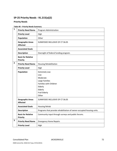# **SP‐25 Priority Needs ‐ 91.215(a)(2)**

## **Priority Needs**

### **Table 48 – Priority Needs Summary**

| $\mathbf{1}$ | <b>Priority Need Name</b>                    | Program Administration                                                                                                                     |  |  |  |  |  |  |
|--------------|----------------------------------------------|--------------------------------------------------------------------------------------------------------------------------------------------|--|--|--|--|--|--|
|              | <b>Priority Level</b>                        | High                                                                                                                                       |  |  |  |  |  |  |
|              | Population                                   | Other                                                                                                                                      |  |  |  |  |  |  |
|              | <b>Geographic Areas</b><br><b>Affected</b>   | SUNNYSIDE INCLUSIVE OF CT 36.05                                                                                                            |  |  |  |  |  |  |
|              | <b>Associated Goals</b>                      |                                                                                                                                            |  |  |  |  |  |  |
|              | <b>Description</b>                           | Oversight of federal funding program.                                                                                                      |  |  |  |  |  |  |
|              | <b>Basis for Relative</b><br><b>Priority</b> |                                                                                                                                            |  |  |  |  |  |  |
| 2            | <b>Priority Need Name</b>                    | <b>Housing Rehabilitation</b>                                                                                                              |  |  |  |  |  |  |
|              | <b>Priority Level</b>                        | High                                                                                                                                       |  |  |  |  |  |  |
|              | Population                                   | <b>Extremely Low</b><br>Low<br>Moderate<br>Large Families<br>Families with Children<br>Elderly<br>Elderly<br><b>Frail Elderly</b><br>Other |  |  |  |  |  |  |
|              | <b>Geographic Areas</b><br><b>Affected</b>   | SUNNYSIDE INCLUSIVE OF CT 36.05                                                                                                            |  |  |  |  |  |  |
|              | <b>Associated Goals</b>                      | <b>Housing Rehab</b>                                                                                                                       |  |  |  |  |  |  |
|              | <b>Description</b>                           | Programs that provide rehabilitation of owner-occupied housing units.                                                                      |  |  |  |  |  |  |
|              | <b>Basis for Relative</b><br>Priority        | Community input through surveys and public forums.                                                                                         |  |  |  |  |  |  |
| 3            | <b>Priority Need Name</b>                    | <b>Emergency Home Repairs</b>                                                                                                              |  |  |  |  |  |  |
|              | <b>Priority Level</b>                        | High                                                                                                                                       |  |  |  |  |  |  |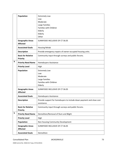|   | Population                                   | <b>Extremely Low</b>                                                                 |
|---|----------------------------------------------|--------------------------------------------------------------------------------------|
|   |                                              | Low                                                                                  |
|   |                                              | Moderate                                                                             |
|   |                                              | Large Families<br>Families with Children                                             |
|   |                                              | Elderly                                                                              |
|   |                                              | Elderly                                                                              |
|   |                                              | Other                                                                                |
|   | <b>Geographic Areas</b><br><b>Affected</b>   | SUNNYSIDE INCLUSIVE OF CT 36.05                                                      |
|   | <b>Associated Goals</b>                      | <b>Housing Rehab</b>                                                                 |
|   | <b>Description</b>                           | Provide emergency repairs of owner-occupied housing units.                           |
|   | <b>Basis for Relative</b><br><b>Priority</b> | Community input through surveys and public forums.                                   |
| 4 | <b>Priority Need Name</b>                    | Homebuyers Assistance                                                                |
|   | <b>Priority Level</b>                        | High                                                                                 |
|   | Population                                   | <b>Extremely Low</b>                                                                 |
|   |                                              | Low                                                                                  |
|   |                                              | Moderate                                                                             |
|   |                                              | Large Families                                                                       |
|   |                                              | Families with Children                                                               |
|   |                                              | Elderly                                                                              |
|   | <b>Geographic Areas</b><br><b>Affected</b>   | SUNNYSIDE INCLUSIVE OF CT 36.05                                                      |
|   | <b>Associated Goals</b>                      | Homebuyers Assistance                                                                |
|   | <b>Description</b>                           | Provide support for homebuyers to include down payment and close cost<br>assistance. |
|   | <b>Basis for Relative</b><br><b>Priority</b> | Community input through surveys and public forums.                                   |
| 5 | <b>Priority Need Name</b>                    | Demolition/Removal of Slum and Blight                                                |
|   | <b>Priority Level</b>                        | High                                                                                 |
|   | Population                                   | Non-housing Community Development                                                    |
|   | <b>Geographic Areas</b><br><b>Affected</b>   | SUNNYSIDE INCLUSIVE OF CT 36.05                                                      |
|   | <b>Associated Goals</b>                      | Demolition                                                                           |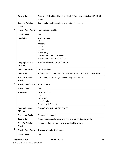|                         | <b>Description</b>                           | Removal of dilapidated homes and debris from vacant lots in CDBG eligible<br>areas. |  |  |  |  |
|-------------------------|----------------------------------------------|-------------------------------------------------------------------------------------|--|--|--|--|
|                         | <b>Basis for Relative</b><br><b>Priority</b> | Community input through surveys and public forums.                                  |  |  |  |  |
| 6                       | <b>Priority Need Name</b>                    | <b>Handicap Accessibility</b>                                                       |  |  |  |  |
|                         | <b>Priority Level</b>                        | High                                                                                |  |  |  |  |
|                         | Population                                   | <b>Extremely Low</b>                                                                |  |  |  |  |
|                         |                                              | Low                                                                                 |  |  |  |  |
|                         |                                              | Moderate                                                                            |  |  |  |  |
|                         |                                              | Elderly                                                                             |  |  |  |  |
|                         |                                              | Elderly                                                                             |  |  |  |  |
|                         |                                              | <b>Frail Elderly</b>                                                                |  |  |  |  |
|                         |                                              | Persons with Mental Disabilities                                                    |  |  |  |  |
|                         |                                              | Persons with Physical Disabilities                                                  |  |  |  |  |
|                         | <b>Geographic Areas</b><br><b>Affected</b>   | SUNNYSIDE INCLUSIVE OF CT 36.05                                                     |  |  |  |  |
|                         | <b>Associated Goals</b>                      | <b>Housing Rehab</b>                                                                |  |  |  |  |
|                         | <b>Description</b>                           | Provide modifications to owner-occupied units for handicap accessibility.           |  |  |  |  |
|                         | <b>Basis for Relative</b><br><b>Priority</b> | Community input through surveys and public forums.                                  |  |  |  |  |
| $\overline{\mathbf{z}}$ | <b>Priority Need Name</b>                    | <b>Youth Services</b>                                                               |  |  |  |  |
|                         | <b>Priority Level</b>                        | High                                                                                |  |  |  |  |
|                         | Population                                   | <b>Extremely Low</b>                                                                |  |  |  |  |
|                         |                                              | Low                                                                                 |  |  |  |  |
|                         |                                              | Moderate                                                                            |  |  |  |  |
|                         |                                              | Large Families                                                                      |  |  |  |  |
|                         |                                              | <b>Families with Children</b>                                                       |  |  |  |  |
|                         | <b>Geographic Areas</b>                      | SUNNYSIDE INCLUSIVE OF CT 36.05                                                     |  |  |  |  |
|                         | <b>Affected</b>                              |                                                                                     |  |  |  |  |
|                         | <b>Associated Goals</b>                      | <b>Other Special Needs</b>                                                          |  |  |  |  |
|                         | <b>Description</b>                           | Provide assistance for programs that provide services to youth.                     |  |  |  |  |
|                         | <b>Basis for Relative</b><br><b>Priority</b> | community input through surveys and public forums.                                  |  |  |  |  |
| 8                       | <b>Priority Need Name</b>                    | Transportation for the Elderly                                                      |  |  |  |  |
|                         | <b>Priority Level</b>                        | High                                                                                |  |  |  |  |

### Consolidated Plan 574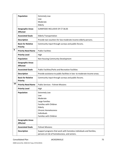|    | Population                                   | <b>Extremely Low</b><br>Low                                                                                         |  |  |  |  |  |  |
|----|----------------------------------------------|---------------------------------------------------------------------------------------------------------------------|--|--|--|--|--|--|
|    |                                              | Moderate<br>Elderly                                                                                                 |  |  |  |  |  |  |
|    | <b>Geographic Areas</b><br><b>Affected</b>   | SUNNYSIDE INCLUSIVE OF CT 36.05                                                                                     |  |  |  |  |  |  |
|    | <b>Associated Goals</b>                      | <b>Elderly Transportation</b>                                                                                       |  |  |  |  |  |  |
|    | <b>Description</b>                           | Provide taxi vouchers for low-moderate income elderly persons.                                                      |  |  |  |  |  |  |
|    | <b>Basis for Relative</b><br><b>Priority</b> | Community input through surveys and public forums.                                                                  |  |  |  |  |  |  |
| 9  | <b>Priority Need Name</b>                    | <b>Public Facilities</b>                                                                                            |  |  |  |  |  |  |
|    | <b>Priority Level</b>                        | High                                                                                                                |  |  |  |  |  |  |
|    | Population                                   | Non-housing Community Development                                                                                   |  |  |  |  |  |  |
|    | <b>Geographic Areas</b><br><b>Affected</b>   |                                                                                                                     |  |  |  |  |  |  |
|    | <b>Associated Goals</b>                      | <b>Public Facilities/Parks and Recreation Facilities</b>                                                            |  |  |  |  |  |  |
|    | <b>Description</b>                           | Provide assistance to public facilities in low- to moderate-income areas.                                           |  |  |  |  |  |  |
|    | <b>Basis for Relative</b><br><b>Priority</b> | Community input through surveys and public forums.                                                                  |  |  |  |  |  |  |
| 10 | <b>Priority Need Name</b>                    | <b>Public Services - Fishnet Missions</b>                                                                           |  |  |  |  |  |  |
|    | <b>Priority Level</b>                        | High                                                                                                                |  |  |  |  |  |  |
|    | Population                                   | <b>Extremely Low</b>                                                                                                |  |  |  |  |  |  |
|    |                                              | Low                                                                                                                 |  |  |  |  |  |  |
|    |                                              | Moderate                                                                                                            |  |  |  |  |  |  |
|    |                                              | Large Families<br>Families with Children                                                                            |  |  |  |  |  |  |
|    |                                              | Elderly                                                                                                             |  |  |  |  |  |  |
|    |                                              | <b>Chronic Homelessness</b>                                                                                         |  |  |  |  |  |  |
|    |                                              | Individuals                                                                                                         |  |  |  |  |  |  |
|    |                                              | Families with Children                                                                                              |  |  |  |  |  |  |
|    | <b>Geographic Areas</b><br><b>Affected</b>   |                                                                                                                     |  |  |  |  |  |  |
|    | <b>Associated Goals</b>                      | <b>Fishnet Missions</b>                                                                                             |  |  |  |  |  |  |
|    | <b>Description</b>                           | Support programs that work with homeless individuals and families,<br>persons at risk of homelessness, and seniors. |  |  |  |  |  |  |

OMB Control No: 2506‐0117 (exp. 07/31/2015)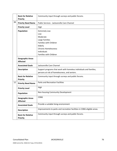|    | <b>Basis for Relative</b><br>Priority        | Community input through surveys and public forums.                                                                  |  |  |  |  |  |  |
|----|----------------------------------------------|---------------------------------------------------------------------------------------------------------------------|--|--|--|--|--|--|
| 11 | <b>Priority Need Name</b>                    | Public Services - Jacksonville Care Channel                                                                         |  |  |  |  |  |  |
|    | <b>Priority Level</b>                        | High                                                                                                                |  |  |  |  |  |  |
|    | Population                                   | <b>Extremely Low</b>                                                                                                |  |  |  |  |  |  |
|    |                                              | Low                                                                                                                 |  |  |  |  |  |  |
|    |                                              | Moderate                                                                                                            |  |  |  |  |  |  |
|    |                                              | Large Families                                                                                                      |  |  |  |  |  |  |
|    |                                              | Families with Children                                                                                              |  |  |  |  |  |  |
|    |                                              | Elderly                                                                                                             |  |  |  |  |  |  |
|    |                                              | <b>Chronic Homelessness</b>                                                                                         |  |  |  |  |  |  |
|    |                                              | Individuals                                                                                                         |  |  |  |  |  |  |
|    |                                              | Families with Children                                                                                              |  |  |  |  |  |  |
|    | <b>Geographic Areas</b><br><b>Affected</b>   |                                                                                                                     |  |  |  |  |  |  |
|    | <b>Associated Goals</b>                      | Jacksonville Care Channel                                                                                           |  |  |  |  |  |  |
|    | <b>Description</b>                           | Support programs that work with homeless individuals and families,<br>persons at risk of homelessness, and seniors. |  |  |  |  |  |  |
|    |                                              |                                                                                                                     |  |  |  |  |  |  |
|    | <b>Basis for Relative</b><br><b>Priority</b> | Community input through surveys and public forums.                                                                  |  |  |  |  |  |  |
| 12 | <b>Priority Need Name</b>                    | <b>Parks and Recreation Facilities</b>                                                                              |  |  |  |  |  |  |
|    | <b>Priority Level</b>                        | High                                                                                                                |  |  |  |  |  |  |
|    | <b>Population</b>                            | Non-housing Community Development                                                                                   |  |  |  |  |  |  |
|    | <b>Geographic Areas</b><br><b>Affected</b>   | <b>CDBG</b>                                                                                                         |  |  |  |  |  |  |
|    | <b>Associated Goals</b>                      | Provide a suitable living environment                                                                               |  |  |  |  |  |  |
|    | <b>Description</b>                           | Improvements to parks and recreation facilities in CDBG eligible areas.                                             |  |  |  |  |  |  |
|    | <b>Basis for Relative</b><br><b>Priority</b> | Community input through surveys and public forums.                                                                  |  |  |  |  |  |  |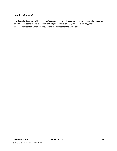## **Narrative (Optional)**

The Needs for Services and Improvements survey, forums and meetings, highlight Jacksonville's need for investment in economic development, critical public improvements, affordable housing, increased access to services for vulnerable populations and services for the homeless.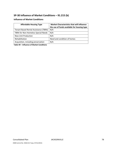# **SP‐30 Influence of Market Conditions – 91.215 (b)**

## **Influence of Market Conditions**

| <b>Affordable Housing Type</b>        | <b>Market Characteristics that will influence</b><br>the use of funds available for housing type |
|---------------------------------------|--------------------------------------------------------------------------------------------------|
| Tenant Based Rental Assistance (TBRA) | N/A                                                                                              |
| TBRA for Non-Homeless Special Needs   | N/A                                                                                              |
| New Unit Production                   | N/A                                                                                              |
| Rehabilitation                        | Need and condition of homes                                                                      |
| Acquisition, including preservation   | N/A                                                                                              |

**Table 49 – Influence of Market Conditions**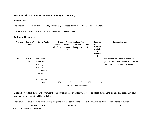## **SP‐35 Anticipated Resources ‐ 91.215(a)(4), 91.220(c)(1,2)**

### **Introduction**

The amount of federal entitlement funding significantly decreased during the last Consolidated Plan term

Therefore, the City anticipates an annual 3 percent reduction in funding.

## **Anticipated Resources**

| Program     | Source of    | <b>Uses of Funds</b>   | <b>Expected Amount Available Year 1</b> |         |                   |         | Expected         | <b>Narrative Description</b>              |
|-------------|--------------|------------------------|-----------------------------------------|---------|-------------------|---------|------------------|-------------------------------------------|
|             | <b>Funds</b> |                        | Annual                                  | Program | <b>Prior Year</b> | Total:  | Amount           |                                           |
|             |              |                        | <b>Allocation:</b>                      | Income: | <b>Resources:</b> | Ş.      | <b>Available</b> |                                           |
|             |              |                        | \$                                      | \$      | \$                |         | Reminder         |                                           |
|             |              |                        |                                         |         |                   |         | of               |                                           |
|             |              |                        |                                         |         |                   |         | <b>ConPlan</b>   |                                           |
|             |              |                        |                                         |         |                   |         |                  |                                           |
| <b>CDBG</b> | public -     | Acquisition            |                                         |         |                   |         |                  | 20% of grant for Program Admin15% of      |
|             | federal      | Admin and              |                                         |         |                   |         |                  | grant for Public Services65% of grant for |
|             |              | Planning               |                                         |         |                   |         |                  | community development activities          |
|             |              | Economic               |                                         |         |                   |         |                  |                                           |
|             |              | Development            |                                         |         |                   |         |                  |                                           |
|             |              | Housing                |                                         |         |                   |         |                  |                                           |
|             |              | Public                 |                                         |         |                   |         |                  |                                           |
|             |              | Improvements           |                                         |         |                   |         |                  |                                           |
|             |              | <b>Public Services</b> | 192,188                                 | 0       | 0                 | 192,188 | 0                |                                           |

**Table 50 ‐ Anticipated Resources**

## Explain how federal funds will leverage those additional resources (private, state and local funds), including a description of how **matching requirements will be satisfied**

The City will continue to utilize other housing programs such as Federal Home Loan Bank and Arkansas Development Finance Authority

Consolidated

**Plan JACKSONVILLE** 79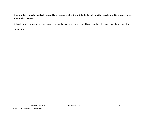## If appropriate, describe publically owned land or property located within the jurisdiction that may be used to address the needs **identified in the plan**

Although the City owns several vacant lots throughout the city, there is no plans at this time for the redevelopment of those properties.

## **Discussion**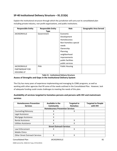## **SP‐40 Institutional Delivery Structure – 91.215(k)**

Explain the institutional structure through which the jurisdiction will carry out its consolidated plan including private industry, non‐profit organizations, and public institutions.

| <b>Responsible Entity</b> | <b>Responsible Entity</b> | Role                  | <b>Geographic Area Served</b> |
|---------------------------|---------------------------|-----------------------|-------------------------------|
|                           | <b>Type</b>               |                       |                               |
| <b>JACKSONVILLE</b>       | Government                | Economic              |                               |
|                           |                           | Development           |                               |
|                           |                           | Homelessness          |                               |
|                           |                           | Non-homeless special  |                               |
|                           |                           | needs                 |                               |
|                           |                           | Ownership             |                               |
|                           |                           | Planning              |                               |
|                           |                           | neighborhood          |                               |
|                           |                           | improvements          |                               |
|                           |                           | public facilities     |                               |
|                           |                           | public services       |                               |
| <b>JACKSONVILLE</b>       | <b>PHA</b>                | <b>Public Housing</b> |                               |
| <b>PARTNERSHIP FOR</b>    |                           |                       |                               |
| <b>HOUSING LP</b>         |                           |                       |                               |

**Table 51 ‐ Institutional Delivery Structure**

## **Assess of Strengths and Gaps in the Institutional Delivery System**

The City has many years of experience implementing and managing its CDBG programs, as well as working with other agencies that fill some of the needs outlined in the Consolidated Plan. However, lack of adequate funding could create challenges to meeting the needs of this plan.

## **Availability of services targeted to homeless persons and persons with HIV and mainstream services**

| <b>Homelessness Prevention</b><br><b>Services</b> | Available in the<br>Community   | <b>Targeted to</b><br><b>Homeless</b> | <b>Targeted to People</b><br>with HIV |
|---------------------------------------------------|---------------------------------|---------------------------------------|---------------------------------------|
|                                                   |                                 |                                       |                                       |
| Counseling/Advocacy                               | X                               | х                                     |                                       |
| Legal Assistance                                  | x                               |                                       |                                       |
| Mortgage Assistance                               | x                               |                                       |                                       |
| <b>Rental Assistance</b>                          | X                               | x                                     |                                       |
| <b>Utilities Assistance</b>                       | x                               | X                                     |                                       |
|                                                   | <b>Street Outreach Services</b> |                                       |                                       |
| Law Enforcement                                   | x                               | χ                                     |                                       |
| <b>Mobile Clinics</b>                             |                                 |                                       |                                       |
| <b>Other Street Outreach Services</b>             | χ                               | χ                                     |                                       |

Consolidated Plan 81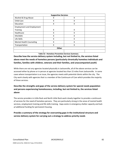| <b>Supportive Services</b>       |   |   |  |  |  |  |  |  |  |
|----------------------------------|---|---|--|--|--|--|--|--|--|
| Alcohol & Drug Abuse<br>X<br>X   |   |   |  |  |  |  |  |  |  |
| Child Care                       | X | X |  |  |  |  |  |  |  |
| Education                        | X | Χ |  |  |  |  |  |  |  |
| <b>Employment and Employment</b> |   |   |  |  |  |  |  |  |  |
| <b>Training</b>                  | X | X |  |  |  |  |  |  |  |
| Healthcare                       | X | X |  |  |  |  |  |  |  |
| HIV/AIDS                         | X | X |  |  |  |  |  |  |  |
| Life Skills                      | X | x |  |  |  |  |  |  |  |
| <b>Mental Health Counseling</b>  | X | X |  |  |  |  |  |  |  |
| Transportation                   | X | Χ |  |  |  |  |  |  |  |
| Other                            |   |   |  |  |  |  |  |  |  |
|                                  |   |   |  |  |  |  |  |  |  |

**Table 52 ‐ Homeless Prevention Services Summary**

**Describe how the service delivery system including, but not limited to, the services listed above meet the needs of homeless persons (particularly chronically homeless individuals and families, families with children, veterans and their families, and unaccompanied youth)**

While there are not any agencies located physically in Jacksonville, all of the above services can be accessed either by phone or in person at agencies located less than 15 miles from Jacksonville. In some cases where transportation is an issue, the agencies meets with potential clients within the city. The City work closely with agencies that is a member of the Continuum of Care which provides the majority of these services.

## **Describe the strengths and gaps of the service delivery system for special needs population and persons experiencing homelessness, including, but not limited to, the services listed above**

The service providers in Little Rock and North Little Rock work closely together to provide a continuum of services for the need of homeless persons. They are particularly strong in the areas of mental health services, employment training and life skills training. Gaps exists in emergency shelter capacity and lack of additional funding for permanent housing.

## **Provide a summary of the strategy for overcoming gaps in the institutional structure and service delivery system for carrying out a strategy to address priority needs**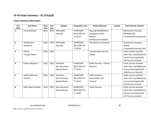## **SP‐45 Goals Summary – 91.215(a)(4)**

### **Goals Summary Information**

| Sort            | <b>Goal Name</b>           | <b>Start</b> | End  | Category             | <b>Geographic Area</b> | <b>Needs Addressed</b>           | <b>Funding</b> | <b>Goal Outcome Indicator</b> |
|-----------------|----------------------------|--------------|------|----------------------|------------------------|----------------------------------|----------------|-------------------------------|
| Order           |                            | Year         | Year |                      |                        |                                  |                |                               |
| 1               | <b>Housing Rehab</b>       | 2016         | 2020 | Affordable           | SUNNYSIDE              | <b>Housing Rehabilitation</b>    |                | <b>Homeowner Housing</b>      |
|                 |                            |              |      | Housing              | <b>INCLUSIVE OF</b>    | <b>Emergency Home</b>            |                | Rehabilitated:                |
|                 |                            |              |      |                      | CT 36.05               | Repairs                          |                | 6 Household Housing Unit      |
|                 |                            |              |      |                      |                        | <b>Handicap Accessibility</b>    |                |                               |
| $\overline{2}$  | Homebuyers                 | 2016         | 2020 | Affordable           | <b>SUNNYSIDE</b>       | Homebuyers Assistance            |                | <b>Homeowner Housing</b>      |
|                 | Assistance                 |              |      | Housing              | <b>INCLUSIVE OF</b>    |                                  |                | Added:                        |
|                 |                            |              |      |                      | CT 36.05               |                                  |                | 3 Household Housing Unit      |
| 3               | Elderly                    | 2016         | 2020 |                      |                        | Transportation for the           |                | Public service activities     |
|                 | Transportation             |              |      |                      |                        | Elderly                          |                | other than Low/Moderate       |
|                 |                            |              |      |                      |                        |                                  |                | Income Housing Benefit:       |
|                 |                            |              |      |                      |                        |                                  |                | 100 Persons Assisted          |
| 4               | <b>Fishnet Missions</b>    | 2016         | 2020 | Homeless             | SUNNYSIDE              | <b>Public Services - Fishnet</b> |                | Public service activities     |
|                 |                            |              |      | Non-Homeless         | <b>INCLUSIVE OF</b>    | <b>Missions</b>                  |                | other than Low/Moderate       |
|                 |                            |              |      | <b>Special Needs</b> | CT 36.05               |                                  |                | Income Housing Benefit:       |
|                 |                            |              |      |                      |                        |                                  |                | 1200 Persons Assisted         |
| 5               | Jacksonville Care          | 2016         | 2020 | Homeless             | <b>SUNNYSIDE</b>       | Public Services -                |                | Public service activities     |
|                 | Channel                    |              |      | Non-Homeless         | <b>INCLUSIVE OF</b>    | Jacksonville Care                |                | other than Low/Moderate       |
|                 |                            |              |      | <b>Special Needs</b> | CT 36.05               | Channel                          |                | Income Housing Benefit:       |
|                 |                            |              |      |                      |                        |                                  |                | 150 Persons Assisted          |
| $6\phantom{1}6$ | <b>Other Special Needs</b> | 2016         | 2020 | Non-Homeless         | <b>SUNNYSIDE</b>       | <b>Youth Services</b>            |                | Public service activities     |
|                 |                            |              |      | <b>Special Needs</b> | <b>INCLUSIVE OF</b>    |                                  |                | other than Low/Moderate       |
|                 |                            |              |      |                      | CT 36.05               |                                  |                | Income Housing Benefit:       |
|                 |                            |              |      |                      |                        |                                  |                | 125 Persons Assisted          |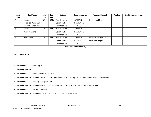| Sort  | <b>Goal Name</b>             | <b>Start</b> | End  | Category    | <b>Geographic Area</b> | <b>Needs Addressed</b>   | <b>Funding</b> | <b>Goal Outcome Indicator</b> |
|-------|------------------------------|--------------|------|-------------|------------------------|--------------------------|----------------|-------------------------------|
| Order |                              | Year         | Year |             |                        |                          |                |                               |
|       | Public                       | 2016         | 2020 | Non-Housing | <b>SUNNYSIDE</b>       | <b>Public Facilities</b> |                |                               |
|       | Facilities/Parks and         |              |      | Community   | <b>INCLUSIVE OF</b>    |                          |                |                               |
|       | <b>Recreation Facilities</b> |              |      | Development | CT 36.05               |                          |                |                               |
| 8     | Public                       | 2016         | 2020 | Non-Housing | <b>SUNNYSIDE</b>       |                          |                |                               |
|       | Improvements                 |              |      | Community   | <b>INCLUSIVE OF</b>    |                          |                |                               |
|       |                              |              |      | Development | CT 36.05               |                          |                |                               |
| 9     | <b>Demolition</b>            | 2016         | 2020 | Non-Housing | <b>SUNNYSIDE</b>       | Demolition/Removal of    |                |                               |
|       |                              |              |      | Community   | <b>INCLUSIVE OF</b>    | Slum and Blight          |                |                               |
|       |                              |              |      | Development | CT 36.05               |                          |                |                               |

**Table 53 – Goals Summary**

### **Goal Descriptions**

|                                           | <b>Goal Name</b>        | Housing Rehab                                                                           |  |
|-------------------------------------------|-------------------------|-----------------------------------------------------------------------------------------|--|
|                                           | <b>Goal Description</b> |                                                                                         |  |
| <b>Goal Name</b><br>Homebuyers Assistance |                         |                                                                                         |  |
|                                           | <b>Goal Description</b> | Provide assistance for down payment and closing cost for low-moderate income households |  |
| 3                                         | <b>Goal Name</b>        | <b>Elderly Transportation</b>                                                           |  |
|                                           | <b>Goal Description</b> | Provide taxi vouchers for elderly 62 or older that's low- to moderate-income.           |  |
|                                           | <b>Goal Name</b>        | <b>Fishnet Missions</b>                                                                 |  |
|                                           | <b>Goal Description</b> | Provide food for families, individuals, and homeless                                    |  |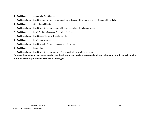| 5                                                   | <b>Goal Name</b>        | Jacksonville Care Channel                                                                         |
|-----------------------------------------------------|-------------------------|---------------------------------------------------------------------------------------------------|
|                                                     | <b>Goal Description</b> | Provide temporary lodging for homeless, assistance with water bills, and assistance with medicine |
| <b>Goal Name</b><br>6<br><b>Other Special Needs</b> |                         |                                                                                                   |
|                                                     | <b>Goal Description</b> | Provide assistance for persons with other special needs to include youth.                         |
| 7                                                   | <b>Goal Name</b>        | <b>Public Facilities/Parks and Recreation Facilities</b>                                          |
|                                                     | <b>Goal Description</b> | Provided assistance with public facilities                                                        |
| 8                                                   | <b>Goal Name</b>        | <b>Public Improvements</b>                                                                        |
|                                                     | <b>Goal Description</b> | Provide repair of streets, drainage and sidewalks                                                 |
| 9                                                   | <b>Goal Name</b>        | Demolition                                                                                        |
|                                                     | <b>Goal Description</b> | Provide assistance for removal of slum and blight in low income areas.                            |

Estimate the number of extremely low-income, low-income, and moderate-income families to whom the jurisdiction will provide **affordable housing as defined by HOME 91.315(b)(2)**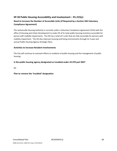## **SP‐50 Public Housing Accessibility and Involvement – 91.215(c)**

## **Need to Increase the Number of Accessible Units (if Required by a Section 504 Voluntary Compliance Agreement)**

The Jacksonville Housing Authority is currently under a Voluntary Compliance Agreement (VCA) with the office of Housing and Urban Development to make 5% of its total public housing inventory accessible for person with mobility impairments. The HA has a total of 5 units that are fully accessible for persons with mobility impairment. The HA also improves housing and living environments through its 5‐year and annual Public Housing Agency Strategic Plans.

## **Activities to Increase Resident Involvements**

The City will continue its outreach efforts to residents of public housing and the management of public housing.

### **Is the public housing agency designated as troubled under 24 CFR part 902?**

No

### **Plan to remove the 'troubled' designation**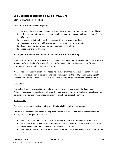## **SP‐55 Barriers to affordable housing – 91.215(h)**

## **Barriers to Affordable Housing**

The barriers to affordable housing include:

- 1. Income and wages are not keeping pace with rising housing costs and the overall cost of living
- 2. Federal resources for programs do not match the need experienced, such as the federal Section 8 Program
- 3. Homeownership is out of reach for the majority of low‐income residents
- 4. The cost of land is high and there is a lack of vacant land for future growth
- 5. Development barriers in some communities, such as "NIMBYism"
- 6. Impediments to Fair Housing

## **Strategy to Remove or Ameliorate the Barriers to Affordable Housing**

The City recognizes that to be successful in the implementation of housing and community development activities, efforts must be efficient and fruitful. Unfortunately, the City does not have sufficient resources to properly address affordable housing.

Also, obstacles to meeting underserved needs include lack of manpower within the organization and unwillingness of developers to construct affordable housing due to the reality of not making a profit. Elevated home prices and increased land values within the City are also barriers to affordable housing.

### Cost of Land

The cost and relative unavailability of land is a barrier to the development of affordable housing. Although housing prices have leveled off since the housing crisis, they are still relatively out of reach for extremely low-, low-, and many moderate-income households, especially families.

### Growth Limits

There are no substantial tracts of undeveloped land available for affordable housing.

The city is therefore utilizing several guiding principles for its five year plan as it relates to affordable housing. These principles are as follows:

- Support activities that build upon existing housing and provide for on-going maintenance;
- Implement strategies with sustainable long-term impacts, such as cost-effective rehabilitation and redevelopment that complements surrounding properties;
- Seek opportunities to form partnerships with agencies as to generate beneficial activities for the city;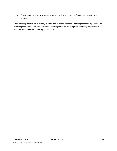Explore opportunities to leverage resources with private, nonprofit and other governmental agencies.

The City sees preservation of existing modest and currently affordable housing stock and a potential for providing economically‐efficient affordable housing in the future. Programs are being researched to maintain and enhance this existing housing stock.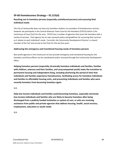## **SP‐60 Homelessness Strategy – 91.215(d)**

## **Reaching out to homeless persons (especially unsheltered persons) and assessing their individual needs**

The City of Jacksonville does not have any homeless shelters nor providers of homelessness services. However we participate in the Central Arkansas Team Care for the Homeless (CATCH) which is the Continuum of Care (CoC) for the area. CATCH has a number of agencies that assist the homeless with a variety of services. Each agency has its own outreach policy and guidelines for accessing their services as it relates to each individual's need. Currently, the Community Development Director is a board member of the CoC and served as the Chair for the last five years.

## **Addressing the emergency and transitional housing needs of homeless persons**

Non-profit agencies in the Continuum of Care provide emergency and transitional housing for the homeless and these efforts can be coordinated and/or accessed through the Community Development office.

**Helping homeless persons (especially chronically homeless individuals and families, families with children, veterans and their families, and unaccompanied youth) make the transition to permanent housing and independent living, including shortening the period of time that individuals and families experience homelessness, facilitating access for homeless individuals and families to affordable housing units, and preventing individuals and families who were recently homeless from becoming homeless again.**

N/A

**Help low‐income individuals and families avoid becoming homeless, especially extremely low‐income individuals and families who are likely to become homeless after being discharged from a publicly funded institution or system of care, or who are receiving assistance from public and private agencies that address housing, health, social services, employment, education or youth needs**

N/A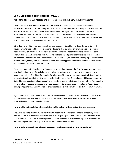## **SP‐65 Lead based paint Hazards – 91.215(i)**

### **Actions to address LBP hazards and increase access to housing without LBP hazards**

Lead‐based paint was banned from residential use in 1978 because of the health risk it poses, particularly to children. Homes built prior to 1980 have some chance of containing lead‐based paint on interior or exterior surfaces. The chances increase with the age of the housing units. HUD has established estimates for determining the likelihood of housing units containing lead‐based paint. Houses built prior to 1940 has a 90% chance of containing lead‐based paint as compared to houses built from 1960 through 1979 having only a 62% chance.

Other factors used to determine the risk for lead‐based paint problems include the condition of the housing unit, tenure and household income. Households with young children are also at greater risk because young children have more hand‐to‐mouth activity and absorb lead more readily than adults. The two factors most correlated with higher risks of lead‐based paint hazards are residing in rental or lower‐income households. Low‐income residents are less likely to be able to afford proper maintenance of their homes, leading to issues such as chipped and peeling paint, and renters are not as likely or are not allowed to renovate their rental units.

The City's Community Development Department in coordination with the City Engineer oversees lead‐ based paint abatement efforts in home rehabilitation and construction for low to moderately low‐ income properties. The City's Community Development Director will continue to actively take training classes to stay abreast in the latest guideline for lead‐based paint. These classes will include but not be limited to lead‐based paint hazards control in maintenance, remodeling and rehabilitation. Additionally, the city takes corrective measures when lead‐based paint is encountered as funding dictates. Lead‐ based paint pamphlets and information are available and distributive by the staff at community events.

Aging of housing and incidence of elevated blood lead levels in children are two indicators or the extent of housing with lead‐based paint hazard and the extent to which low income families are effected. No reportable case incidents have been noted.

### **How are the actions listed above related to the extent of lead poisoning and hazards?**

The Arkansas State Health/Environment Health Department provides information concerning rates of lead poisoning in Jacksonville. Although lead levels requiring intervention by the State are rare, levels that can affect children have been reported. The City will seek to reduce lead exposure by complying with HUD regulations with respect to HUD-funded home rehabilitation.

### **How are the actions listed above integrated into housing policies and procedures?**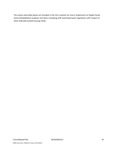The actions described above are included in the City's policies for how it implements its Single‐Family Home Rehabilitation program and when complying with lead‐based paint regulations with respect to other federally funded housing rehab.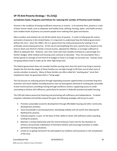## **SP‐70 Anti‐Poverty Strategy – 91.215(j)**

## **Jurisdiction Goals, Programs and Policies for reducing the number of Poverty‐Level Families**

Poverty is the condition of having insufficient resources or income. In its extreme form, poverty is a lack of basic human needs, such as adequate and healthy food, clothing, housing, water, and health services. Even modest levels of poverty can prevent people from realizing their goals and dreams.

Mere numbers and statistics do not tell the whole story of poverty. In order to fully grasp the nature and extent of poverty in the United States, it is important to understand how the federal government defines this term. Since the 1960's, the U.S. government has measured poverty by relating it to an artificially constructed poverty line. At the risk of oversimplifying this term, poverty line is based on the level at which one-third of a family's annual income, adjusted for inflation, is no longer sufficient to afford an adequate diet. However, over time, food costs have steadily increased as a percentage of a family's budget, while medical and housing costs continue to skyrocket. Thus, the assumption that a family spends an average of one third of its budget on food is no longer an accurate one. Instead, many are going without food to make up for other high living costs.

The federal government does not consider families earning more than this level to be living in poverty despite the fact that the wages of these families are not high enough to lift them out of what most of society considers to poverty. Many of these families are often called the "working poor" since their employment does not guarantee them a "living wage".

The City focuses on reducing poverty through expanding economic opportunities to promote long‐term economic and social viability including business start‐up loans/grants directed at creating jobs accessible to low‐income persons; providing training through workforce centers; supporting access to credit counseling to achieve self‐sufficiency, particularly for persons in federally assisted and public housing.

The CDD will reduce poverty by fostering and promoting self‐sufficiency and independence. To better empower individual and families toward this goal, the following strategies will be put to work:

- Promote sustainable economic development through affordable housing and other community development activities;
- Assist households in purchasing homes, developing stability and net worth and reducing the likelihood for poverty;
- Evaluate projects, in part, on the basis of their ability to foster self‐sufficiency when awarding funding for projects;
- Maintain a strong relationship with the Central Arkansas Team Care for the Homeless to enhance and promote stabilization of homeless families and encourage transition to stable, permanent housing situations;
- Create an on-going mechanism for participation by residents and businesses in the revitalization of the area;

### Consolidated Plan JACKSONVILLE 92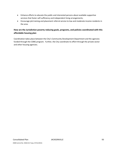- Enhance efforts to educate the public and interested persons about available supportive services that foster self-sufficiency and independent living arrangements;
- Encourage job training and placement referral service to low and moderate income residents in the area.

## **How are the Jurisdiction poverty reducing goals, programs, and policies coordinated with this affordable housing plan**

Coordination takes place between the City's Community Development Department and the agencies funded through the CDBG program. Further, the City coordinate its effort through the private sector and other housing agencies.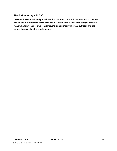## **SP‐80 Monitoring – 91.230**

**Describe the standards and procedures that the jurisdiction will use to monitor activities carried out in furtherance of the plan and will use to ensure long‐term compliance with requirements of the programs involved, including minority business outreach and the comprehensive planning requirements**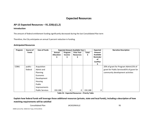# **Expected Resources**

## **AP‐15 Expected Resources – 91.220(c)(1,2)**

### **Introduction**

The amount of federal entitlement funding significantly decreased during the last Consolidated Plan term

Therefore, the City anticipates an annual 3 percent reduction in funding.

### **Anticipated Resources**

| Program     | Source of    | <b>Uses of Funds</b>   | <b>Expected Amount Available Year 1</b> |         | <b>Expected</b>   | <b>Narrative Description</b> |                |                                           |
|-------------|--------------|------------------------|-----------------------------------------|---------|-------------------|------------------------------|----------------|-------------------------------------------|
|             | <b>Funds</b> |                        | Annual                                  | Program | <b>Prior Year</b> | Total:                       | <b>Amount</b>  |                                           |
|             |              |                        | <b>Allocation:</b>                      | Income: | <b>Resources:</b> | \$                           | Available      |                                           |
|             |              |                        | S                                       | Ş       |                   |                              | Reminder       |                                           |
|             |              |                        |                                         |         |                   |                              | οf             |                                           |
|             |              |                        |                                         |         |                   |                              | <b>ConPlan</b> |                                           |
|             |              |                        |                                         |         |                   |                              |                |                                           |
| <b>CDBG</b> | public -     | Acquisition            |                                         |         |                   |                              |                | 20% of grant for Program Admin15% of      |
|             | federal      | Admin and              |                                         |         |                   |                              |                | grant for Public Services65% of grant for |
|             |              | Planning               |                                         |         |                   |                              |                | community development activities          |
|             |              | Economic               |                                         |         |                   |                              |                |                                           |
|             |              | Development            |                                         |         |                   |                              |                |                                           |
|             |              | Housing                |                                         |         |                   |                              |                |                                           |
|             |              | Public                 |                                         |         |                   |                              |                |                                           |
|             |              | Improvements           |                                         |         |                   |                              |                |                                           |
|             |              | <b>Public Services</b> | 192,188                                 | 0       | 0                 | 192,188                      | 0              |                                           |

**Table 54 ‐ Expected Resources – Priority Table**

Explain how federal funds will leverage those additional resources (private, state and local funds), including a description of how **matching requirements will be satisfied**

Consolidated

**Plan JACKSONVILLE** 95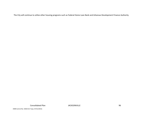The City will continue to utilize other housing programs such as Federal Home Loan Bank and Arkansas Development Finance Authority

**Plan JACKSONVILLE** 96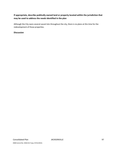## **If appropriate, describe publically owned land or property located within the jurisdiction that may be used to address the needs identified in the plan**

Although the City owns several vacant lots throughout the city, there is no plans at this time for the redevelopment of those properties.

### **Discussion**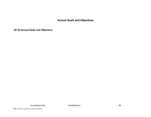# **Annual Goals and Objectives**

**AP‐20 Annual Goals and Objectives**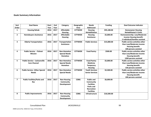### **Goals Summary Information**

| Sort           | <b>Goal Name</b>                      | <b>Start</b> | End  | Category             | Geographic      | <b>Needs</b>           | <b>Funding</b> | <b>Goal Outcome Indicator</b>          |
|----------------|---------------------------------------|--------------|------|----------------------|-----------------|------------------------|----------------|----------------------------------------|
| Order          |                                       | Year         | Year |                      | Area            | <b>Addressed</b>       |                |                                        |
| 1              | <b>Housing Rehab</b>                  | 2016         | 2017 | <b>Affordable</b>    | <b>CITYWIDE</b> | <b>Housing</b>         | \$95,188.00    | <b>Homeowner Housing</b>               |
|                |                                       |              |      | Housing              |                 | <b>Rehabilitation</b>  |                | <b>Rehabilitated: 6 Units</b>          |
| $\mathbf{2}$   | <b>Homebuyers Assistance</b>          | 2016         | 2017 | <b>Affordable</b>    | <b>CITYWIDE</b> | <b>Housing</b>         | \$5,000.00     | Homeownership Low/Moderate             |
|                |                                       |              |      | <b>Housing</b>       |                 | Assistance             |                | income Housing benefit:                |
|                |                                       |              |      |                      |                 |                        |                | 2 individual/families assisted         |
| 3              | <b>Elderly Transportation</b>         | 2016         | 2017 | Transportation       | <b>CITYWIDE</b> | <b>Public Services</b> | \$15,000.00    | <b>Public service activities other</b> |
|                |                                       |              |      | <b>Assistance</b>    |                 |                        |                | than Low/Moderate income               |
|                |                                       |              |      |                      |                 |                        |                | <b>Housing benefit:</b>                |
|                |                                       |              |      |                      |                 |                        |                | 100 persons assisted                   |
| 4              | <b>Public Service - Fishnet</b>       | 2016         | 2017 | <b>Non-Homeless</b>  | <b>CITYWIDE</b> | <b>Food Pantry</b>     | \$500.00       | <b>Public service activities other</b> |
|                | <b>Mission</b>                        |              |      | <b>Special Needs</b> |                 |                        |                | than Low/Moderate income               |
|                |                                       |              |      | <b>Homeless</b>      |                 |                        |                | <b>Housing benefit:</b>                |
|                |                                       |              |      |                      |                 |                        |                | 1200 persons assisted                  |
| 5              | <b>Public Service - Jacksonville</b>  | 2016         | 2017 | <b>Non-Homeless</b>  | <b>CITYWIDE</b> | <b>Food Pantry</b>     | \$5,000.00     | <b>Public service activities other</b> |
|                | <b>Care Channel</b>                   |              |      | <b>Special Needs</b> |                 | <b>Medicine</b>        |                | than Low/Moderate income               |
|                |                                       |              |      | <b>Homeless</b>      |                 | <b>Temporary</b>       |                | <b>Housing benefit:</b>                |
|                |                                       |              |      |                      |                 | <b>Housing</b>         |                | 150 persons assisted                   |
| 6              | <b>Public Service - Other Special</b> | 2016         | 2017 | <b>Non-Homeless</b>  | <b>CITYWIDE</b> | <b>Youth Services</b>  | \$2,500.00     | <b>Public service activities other</b> |
|                | <b>Needs</b>                          |              |      | <b>Special Needs</b> |                 | <b>Senior Services</b> |                | than Low/Moderate income               |
|                |                                       |              |      |                      |                 |                        |                | <b>Housing benefit:</b>                |
|                |                                       |              |      |                      |                 |                        |                | 100 persons assisted                   |
| $\overline{7}$ | <b>Public Facilities/Parks and</b>    | 2016         | 2017 | <b>Non-Housing</b>   | <b>CDBG</b>     | <b>Public and</b>      | \$6,000.00     |                                        |
|                | Rec                                   |              |      | Community            |                 | Community              |                |                                        |
|                |                                       |              |      | <b>Development</b>   |                 | <b>Facilities</b>      |                |                                        |
|                |                                       |              |      |                      |                 | Parks and              |                |                                        |
|                |                                       |              |      |                      |                 | Recreation             |                |                                        |
|                |                                       |              |      |                      |                 | <b>Facilities</b>      |                |                                        |
| 8              | <b>Public Improvements</b>            | 2016         | 2017 | <b>Non-Housing</b>   | <b>CDBG</b>     | <b>Infrastructure</b>  | \$10,500.00    |                                        |
|                |                                       |              |      | Community            |                 |                        |                |                                        |
|                |                                       |              |      | <b>Development</b>   |                 |                        |                |                                        |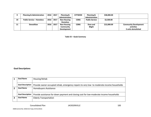|    | <b>Planning &amp; Administration</b> | 2016 | 2017 | Planning &         | <b>CITYWIDE</b> | Planning &            | \$38,000.00 |                              |
|----|--------------------------------------|------|------|--------------------|-----------------|-----------------------|-------------|------------------------------|
|    |                                      |      |      | Administration     |                 | Administration        |             |                              |
| 10 | <b>Public Service – Homeless</b>     | 2016 | 2017 | <b>Non-Housing</b> | <b>CDBG</b>     | <b>Public Service</b> | \$2,500.00  |                              |
|    |                                      |      |      | <b>Homeless</b>    |                 |                       |             |                              |
| 11 | <b>Demolition</b>                    | 2016 | 2017 | <b>Non-Housing</b> | <b>CDBG</b>     | Slum and              | \$12,000.00 | <b>Community Development</b> |
|    |                                      |      |      | Community          |                 | <b>Blight</b>         |             | activities                   |
|    |                                      |      |      | <b>Development</b> |                 |                       |             | 3 units demolished           |

**Table 55 – Goals Summary**

### **Goal Descriptions**

| <b>Goal Name</b>        | Housing Rehab                                                                              |
|-------------------------|--------------------------------------------------------------------------------------------|
| <b>Goal Description</b> | Provide owner-occupied rehab, emergency repairs to very low- to moderate-income households |
| <b>Goal Name</b>        | Homebuyers Assistance                                                                      |
| <b>Goal Description</b> | Provide assistance for down payment and closing cost for low-moderate income households    |
| <b>Goal Name</b>        | <b>Elderly Transportation</b>                                                              |

Consolidated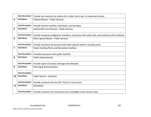|    | <b>Goal Description</b> | Provide taxi vouchers for elderly 62 or older that's low- to moderate-income.                     |
|----|-------------------------|---------------------------------------------------------------------------------------------------|
| 4  | <b>Goal Name</b>        | Fishnet Mission - Public Services                                                                 |
|    | <b>Goal Description</b> | Provide food for families, individuals, and homeless                                              |
| 5  | <b>Goal Name</b>        | Jacksonville Care Channel - Public Services                                                       |
|    | <b>Goal Description</b> | Provide temporary lodging for homeless, assistance with water bills, and assistance with medicine |
| 6  | <b>Goal Name</b>        | Other Special Needs - Public Services                                                             |
|    | <b>Goal Description</b> | Provide assistance for persons with other special needs to include youth.                         |
| 7  | <b>Goal Name</b>        | <b>Public Facilities/Parks and Recreation Facilities</b>                                          |
|    | <b>Goal Description</b> | Provided assistance with public facilities                                                        |
| 8  | <b>Goal Name</b>        | <b>Public Improvements</b>                                                                        |
|    | <b>Goal Description</b> | Provide repair of streets, drainage and sidewalks                                                 |
| 9  | <b>Goal Name</b>        | Planning & Administration                                                                         |
|    | <b>Goal Description</b> |                                                                                                   |
| 10 | <b>Goal Name</b>        | <b>Public Service - Homeless</b>                                                                  |
|    | <b>Goal Description</b> | Provide assistance for the 2017 Point-In-Time Count                                               |
| 11 | <b>Goal Name</b>        | Demolition                                                                                        |
|    | <b>Goal Description</b> | Provide assistance for removal of slum and blight in low income areas.                            |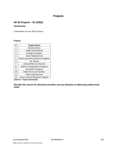# **Projects**

# **AP‐35 Projects – 91.220(d)**

### **Introduction**

Listed below are the 2016 projects.

### **Projects**

| #              | <b>Project Name</b>                   |
|----------------|---------------------------------------|
| $\mathbf{1}$   | Administration                        |
| $\overline{2}$ | Single-family Rehab                   |
| $\overline{2}$ | <b>Emergency Repairs</b>              |
| 4              | Sewer Replacement                     |
| 5              | Down-payment Assistance Program       |
| 6              | <b>ESL Classes</b>                    |
| 7              | Jacksonville Care Channel             |
| 8              | <b>Elderly Transportation Program</b> |
| 9              | <b>Demolition Program</b>             |
| 10             | <b>Public Parks and Facilities</b>    |
| 11             | Public Improvement                    |
| 12             | Back to School Backpack Program       |

**Table 56 – Project Information**

**Describe the reasons for allocation priorities and any obstacles to addressing underserved needs**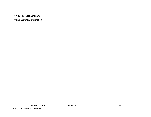## **AP‐38 Project Summary**

**Project Summary Information**

Consolidated

**JACKSONVILLE** 103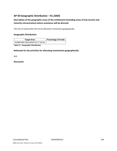# **AP‐50 Geographic Distribution – 91.220(f)**

## **Description of the geographic areas of the entitlement (including areas of low‐income and minority concentration) where assistance will be directed**

The City of Jacksonville will not be allocation investments geograpically.

## **Geographic Distribution**

| <b>Target Area</b>              | <b>Percentage of Funds</b> |
|---------------------------------|----------------------------|
| SUNNYSIDE INCLUSIVE OF CT 36.05 |                            |

**Table 57 ‐ Geographic Distribution** 

## **Rationale for the priorities for allocating investments geographically**

N/A

### **Discussion**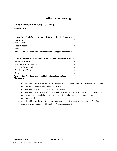# **Affordable Housing**

## **AP‐55 Affordable Housing – 91.220(g)**

### **Introduction**

| One Year Goals for the Number of Households to be Supported             |  |  |  |
|-------------------------------------------------------------------------|--|--|--|
| Homeless                                                                |  |  |  |
| Non-Homeless                                                            |  |  |  |
| Special-Needs                                                           |  |  |  |
| Total                                                                   |  |  |  |
| Table 58 - One Year Goals for Affordable Housing by Support Requirement |  |  |  |

| One Year Goals for the Number of Households Supported Through                         |  |  |  |
|---------------------------------------------------------------------------------------|--|--|--|
| <b>Rental Assistance</b>                                                              |  |  |  |
| The Production of New Units                                                           |  |  |  |
| <b>Rehab of Existing Units</b>                                                        |  |  |  |
| <b>Acquisition of Existing Units</b>                                                  |  |  |  |
| Total                                                                                 |  |  |  |
| Table 59 - One Year Goals for Affordable Housing by Support Type<br><b>Discussion</b> |  |  |  |

- 1. Annual goal for housing assistance for programs such as tenant‐based rental assistance and one‐ time payments to prevent homelessness: None
- 2. Annual goal for the construction of new units: None
- 3. Annual goal for rehab of existing units to include sewer replacement: The City plans to provide funding for 2 single family home rehab; 2 sewer line replacement; 1 emergency repair; and 1 handicap accessiblity
- 4. Annual goal for housing assistance for programs such as down payment assistance: The City plans to provide funding for 1 homebuyer's assistance grant.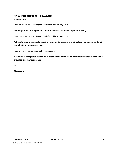## **AP‐60 Public Housing** *–* **91.220(h)**

## **Introduction**

The City will not be allocating any funds for public housing units.

### **Actions planned during the next year to address the needs to public housing**

The City will not be allocating any funds for public housing units.

## **Actions to encourage public housing residents to become more involved in management and participate in homeownership**

None unless requested to do so by the residents.

**If the PHA is designated as troubled, describe the manner in which financial assistance will be provided or other assistance** 

N/A

**Discussion**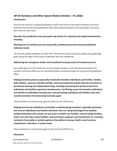## **AP‐65 Homeless and Other Special Needs Activities – 91.220(i)**

## **Introduction**

The City will continue to actively participate in CATCH and serve on the board of directors of CATCH. Staff from the Community Development office will actively participate in the preparation and actual 2017 Point‐In‐Time count.

## **Describe the jurisdictions one‐year goals and actions for reducing and ending homelessness including**

## **Reaching out to homeless persons (especially unsheltered persons) and assessing their individual needs**

The City will provide funding for the 2017 PITC which will be used to purchase supplies for goodie bags given during the night of the count to individuals who are unsheltered.

## **Addressing the emergency shelter and transitional housing needs of homeless persons**

Non‐profit agencies in the Continuum of Care provide emergency and transitional housing for the homeless and these efforts can be coordinated and/or accessed through the Community Development office.

**Helping homeless persons (especially chronically homeless individuals and families, families with children, veterans and their families, and unaccompanied youth) make the transition to permanent housing and independent living, including shortening the period of time that individuals and families experience homelessness, facilitating access for homeless individuals and families to affordable housing units, and preventing individuals and families who were recently homeless from becoming homeless again**

These activities are carried out by agencies that serve the CATCH area.

**Helping low‐income individuals and families avoid becoming homeless, especially extremely low‐income individuals and families and those who are: being discharged from publicly funded institutions and systems of care (such as health care facilities, mental health facilities, foster care and other youth facilities, and corrections programs and institutions); or, receiving assistance from public or private agencies that address housing, health, social services, employment, education, or youth needs**

These activities are carried out by agencies that serve the CATCH area.

### **Discussion**

 Consolidated Plan JACKSONVILLE 107 OMB Control No: 2506‐0117 (exp. 07/31/2015)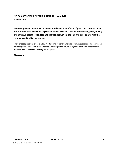## **AP‐75 Barriers to affordable housing – 91.220(j)**

**Introduction:** 

**Actions it planned to remove or ameliorate the negative effects of public policies that serve as barriers to affordable housing such as land use controls, tax policies affecting land, zoning ordinances, building codes, fees and charges, growth limitations, and policies affecting the return on residential investment**

The City sees preservation of existing modest and currently affordable housing stock and a potential for providing economically‐efficient affordable housing in the future. Programs are being researched to maintain and enhance this existing housing stock.

**Discussion:**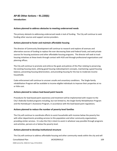## **AP‐85 Other Actions – 91.220(k)**

#### **Introduction:**

#### **Actions planned to address obstacles to meeting underserved needs**

The primary obstacle to addressing underserved needs is lack of funding. The City will continue to seek funding other sources and support service providers.

#### **Actions planned to foster and maintain affordable housing**

The director of Community Development will continue to research and explore all avenues and alternative sources of funding to replace the ever decreasing State and Federal funds; and seek private sources for housing assistance and other affordable housing programs. The director will seek to track housing initiatives at these levels through contact with HUD and through professional organizations and planning offices.

The City will continue to promote and enforce the goals and policies of this Plan relating to preserving the existing housing stock, utilizing good housing redevelopment concepts, maintaining a good housing balance, preventing housing deterioration, and providing housing for the low to moderate income households.

Code enforcement will continue to uncover unsafe and unsanitary conditions. The Single-family rehabilitation Program will be available to income‐eligible individuals to improve their properties at no or little cost.

#### **Actions planned to reduce lead‐based paint hazards**

Procedures for lead‐based paint awareness and treatment will be implemented with respect to the City's federally funded programs including, but not limited to, the Single‐family Rehabilitation Program and the Homebuyer's Assistance Program, in accordance with the lead-based paint regulations.

#### **Actions planned to reduce the number of poverty‐level families**

The City will continue to coordinate efforts to assist households with incomes below the poverty line with other departments providing services to this population and other community organizations providing similar services. It is also the City's intent to assist in whatever way possible through programs and activities, persons at or below the poverty level.

#### **Actions planned to develop institutional structure**

The City will continue to address affordable housing and other community needs within the city and will

 Consolidated Plan JACKSONVILLE 109 OMB Control No: 2506‐0117 (exp. 07/31/2015)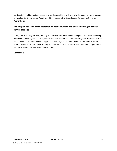participate in and interact and coordinate service provisions with area/district planning groups such as Metroplan, Central Arkansas Planning and Development District, Arkansas Development Finance Authority, etc.

## **Actions planned to enhance coordination between public and private housing and social service agencies**

During the 2016 program year, the City will enhance coordination between public and private housing and social services agencies through the citizen participation plan that encourages all interested parties to share in the Consolidated Planning process. The City will continue to work with service providers, other private institutions, public housing and assisted housing providers, and community organizations to discuss community needs and opportunities.

#### **Discussion:**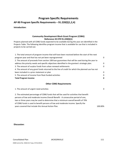# **Program Specific Requirements**

**AP‐90 Program Specific Requirements – 91.220(l)(1,2,4)**

**Introduction:** 

## **Community Development Block Grant Program (CDBG) Reference 24 CFR 91.220(l)(1)**

Projects planned with all CDBG funds expected to be available during the year are identified in the Projects Table. The following identifies program income that is available for use that is included in projects to be carried out.

| 1. The total amount of program income that will have been received before the start of the next   |          |
|---------------------------------------------------------------------------------------------------|----------|
| program year and that has not yet been reprogrammed                                               | 0        |
| 2. The amount of proceeds from section 108 loan guarantees that will be used during the year to   |          |
| address the priority needs and specific objectives identified in the grantee's strategic plan.    | $\Omega$ |
| 3. The amount of surplus funds from urban renewal settlements                                     | $\Omega$ |
| 4. The amount of any grant funds returned to the line of credit for which the planned use has not |          |
| been included in a prior statement or plan                                                        | $\Omega$ |
| 5. The amount of income from float-funded activities                                              | $\Omega$ |
| <b>Total Program Income:</b>                                                                      | 0        |

### **Other CDBG Requirements**

1. The amount of urgent need activities 0

2. The estimated percentage of CDBG funds that will be used for activities that benefit persons of low and moderate income.Overall Benefit ‐ A consecutive period of one, two or three years may be used to determine that a minimum overall benefit of 70% of CDBG funds is used to benefit persons of low and moderate income. Specify the years covered that include this Annual Action Plan. 100.000 100.000 100.000 100.000 100.000 100.000 100.000 10

**Discussion:**